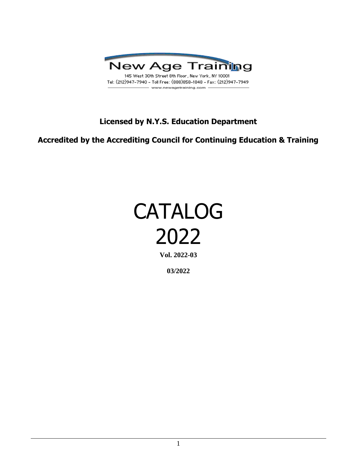

**Licensed by N.Y.S. Education Department**

**Accredited by the Accrediting Council for Continuing Education & Training**

# **CATALOG** 2022

**Vol. 2022-03**

**03/2022**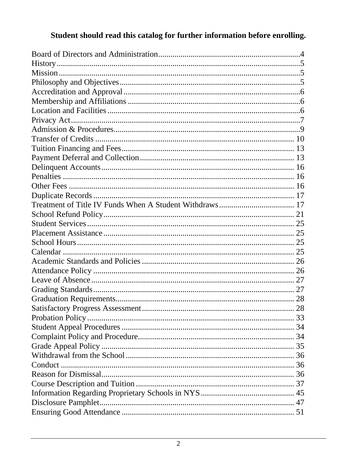# Student should read this catalog for further information before enrolling.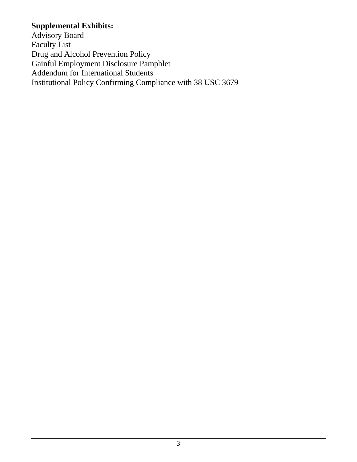# **Supplemental Exhibits:**

Advisory Board Faculty List Drug and Alcohol Prevention Policy Gainful Employment Disclosure Pamphlet Addendum for International Students Institutional Policy Confirming Compliance with 38 USC 3679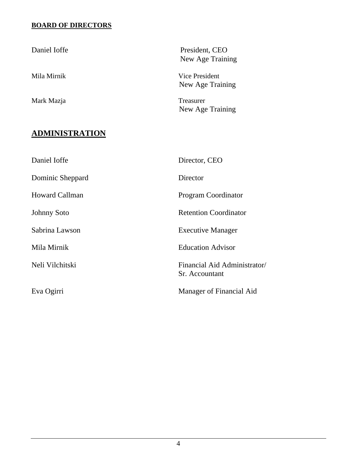# **BOARD OF DIRECTORS**

| Daniel Ioffe          | President, CEO<br>New Age Training |
|-----------------------|------------------------------------|
| Mila Mirnik           | Vice President<br>New Age Training |
| Mark Mazja            | Treasurer<br>New Age Training      |
| <b>ADMINISTRATION</b> |                                    |
| Daniel Ioffe          | Director, CEO                      |

| Dominic Sheppard      | Director                                       |
|-----------------------|------------------------------------------------|
| <b>Howard Callman</b> | <b>Program Coordinator</b>                     |
| <b>Johnny Soto</b>    | <b>Retention Coordinator</b>                   |
| Sabrina Lawson        | <b>Executive Manager</b>                       |
| Mila Mirnik           | <b>Education Advisor</b>                       |
| Neli Vilchitski       | Financial Aid Administrator/<br>Sr. Accountant |
| Eva Ogirri            | Manager of Financial Aid                       |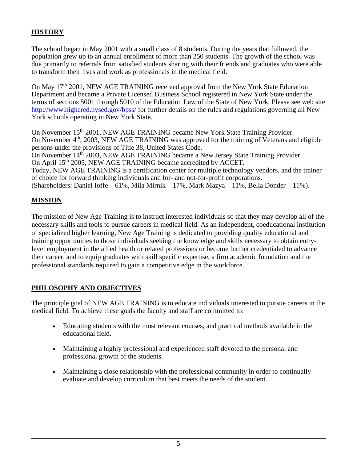# **HISTORY**

The school began in May 2001 with a small class of 8 students. During the years that followed, the population grew up to an annual enrollment of more than 250 students. The growth of the school was due primarily to referrals from satisfied students sharing with their friends and graduates who were able to transform their lives and work as professionals in the medical field.

On May  $17<sup>th</sup>$  2001, NEW AGE TRAINING received approval from the New York State Education Department and became a Private Licensed Business School registered in New York State under the terms of sections 5001 through 5010 of the Education Law of the State of New York. Please see web site <http://www.highered.nysed.gov/bpss/> for further details on the rules and regulations governing all New York schools operating in New York State.

On November 15<sup>th</sup> 2001, NEW AGE TRAINING became New York State Training Provider. On November 4<sup>th</sup>, 2003, NEW AGE TRAINING was approved for the training of Veterans and eligible persons under the provisions of Title 38, United States Code.

On November 14<sup>th</sup> 2003, NEW AGE TRAINING became a New Jersey State Training Provider. On April 15<sup>th</sup> 2005, NEW AGE TRAINING became accredited by ACCET.

Today, NEW AGE TRAINING is a certification center for multiple technology vendors, and the trainer of choice for forward thinking individuals and for- and not-for-profit corporations. (Shareholders: Daniel Ioffe – 61%, Mila Mirnik – 17%, Mark Mazya – 11%, Bella Donder – 11%).

# **MISSION**

The mission of New Age Training is to instruct interested individuals so that they may develop all of the necessary skills and tools to pursue careers in medical field. As an independent, coeducational institution of specialized higher learning, New Age Training is dedicated to providing quality educational and training opportunities to those individuals seeking the knowledge and skills necessary to obtain entrylevel employment in the allied health or related professions or become further credentialed to advance their career, and to equip graduates with skill specific expertise, a firm academic foundation and the professional standards required to gain a competitive edge in the workforce.

# **PHILOSOPHY AND OBJECTIVES**

The principle goal of NEW AGE TRAINING is to educate individuals interested to pursue careers in the medical field. To achieve these goals the faculty and staff are committed to:

- Educating students with the most relevant courses, and practical methods available in the educational field.
- Maintaining a highly professional and experienced staff devoted to the personal and professional growth of the students.
- Maintaining a close relationship with the professional community in order to continually evaluate and develop curriculum that best meets the needs of the student.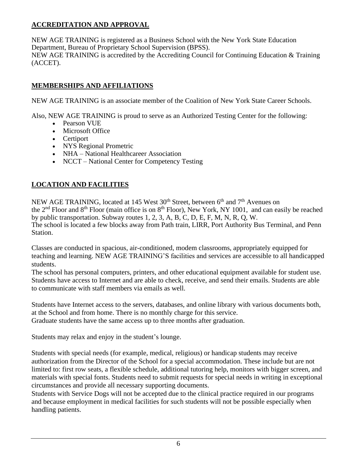# **ACCREDITATION AND APPROVAL**

NEW AGE TRAINING is registered as a Business School with the New York State Education Department, Bureau of Proprietary School Supervision (BPSS). NEW AGE TRAINING is accredited by the Accrediting Council for Continuing Education & Training (ACCET).

# **MEMBERSHIPS AND AFFILIATIONS**

NEW AGE TRAINING is an associate member of the Coalition of New York State Career Schools.

Also, NEW AGE TRAINING is proud to serve as an Authorized Testing Center for the following:

- Pearson VUE
- Microsoft Office
- Certiport
- NYS Regional Prometric
- NHA National Healthcareer Association
- NCCT National Center for Competency Testing

# **LOCATION AND FACILITIES**

NEW AGE TRAINING, located at 145 West 30<sup>th</sup> Street, between 6<sup>th</sup> and 7<sup>th</sup> Avenues on the 2<sup>nd</sup> Floor and 8<sup>th</sup> Floor (main office is on 8<sup>th</sup> Floor), New York, NY 1001, and can easily be reached by public transportation. Subway routes 1, 2, 3, A, B, C, D, E, F, M, N, R, Q, W. The school is located a few blocks away from Path train, LIRR, Port Authority Bus Terminal, and Penn Station.

Classes are conducted in spacious, air-conditioned, modem classrooms, appropriately equipped for teaching and learning. NEW AGE TRAINING'S facilities and services are accessible to all handicapped students.

The school has personal computers, printers, and other educational equipment available for student use. Students have access to Internet and are able to check, receive, and send their emails. Students are able to communicate with staff members via emails as well.

Students have Internet access to the servers, databases, and online library with various documents both, at the School and from home. There is no monthly charge for this service. Graduate students have the same access up to three months after graduation.

Students may relax and enjoy in the student's lounge.

Students with special needs (for example, medical, religious) or handicap students may receive authorization from the Director of the School for a special accommodation. These include but are not limited to: first row seats, a flexible schedule, additional tutoring help, monitors with bigger screen, and materials with special fonts. Students need to submit requests for special needs in writing in exceptional circumstances and provide all necessary supporting documents.

Students with Service Dogs will not be accepted due to the clinical practice required in our programs and because employment in medical facilities for such students will not be possible especially when handling patients.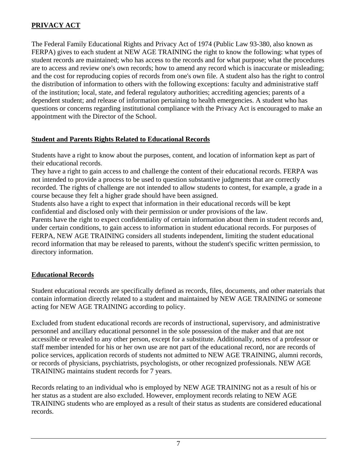# **PRIVACY ACT**

The Federal Family Educational Rights and Privacy Act of 1974 (Public Law 93-380, also known as FERPA) gives to each student at NEW AGE TRAINING the right to know the following: what types of student records are maintained; who has access to the records and for what purpose; what the procedures are to access and review one's own records; how to amend any record which is inaccurate or misleading; and the cost for reproducing copies of records from one's own file. A student also has the right to control the distribution of information to others with the following exceptions: faculty and administrative staff of the institution; local, state, and federal regulatory authorities; accrediting agencies; parents of a dependent student; and release of information pertaining to health emergencies. A student who has questions or concerns regarding institutional compliance with the Privacy Act is encouraged to make an appointment with the Director of the School.

# **Student and Parents Rights Related to Educational Records**

Students have a right to know about the purposes, content, and location of information kept as part of their educational records.

They have a right to gain access to and challenge the content of their educational records. FERPA was not intended to provide a process to be used to question substantive judgments that are correctly recorded. The rights of challenge are not intended to allow students to contest, for example, a grade in a course because they felt a higher grade should have been assigned.

Students also have a right to expect that information in their educational records will be kept confidential and disclosed only with their permission or under provisions of the law.

Parents have the right to expect confidentiality of certain information about them in student records and, under certain conditions, to gain access to information in student educational records. For purposes of FERPA, NEW AGE TRAINING considers all students independent, limiting the student educational record information that may be released to parents, without the student's specific written permission, to directory information.

# **Educational Records**

Student educational records are specifically defined as records, files, documents, and other materials that contain information directly related to a student and maintained by NEW AGE TRAINING or someone acting for NEW AGE TRAINING according to policy.

Excluded from student educational records are records of instructional, supervisory, and administrative personnel and ancillary educational personnel in the sole possession of the maker and that are not accessible or revealed to any other person, except for a substitute. Additionally, notes of a professor or staff member intended for his or her own use are not part of the educational record, nor are records of police services, application records of students not admitted to NEW AGE TRAINING, alumni records, or records of physicians, psychiatrists, psychologists, or other recognized professionals. NEW AGE TRAINING maintains student records for 7 years.

Records relating to an individual who is employed by NEW AGE TRAINING not as a result of his or her status as a student are also excluded. However, employment records relating to NEW AGE TRAINING students who are employed as a result of their status as students are considered educational records.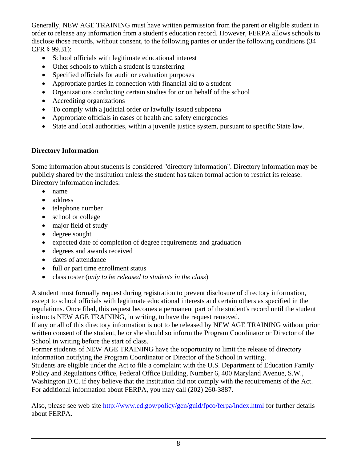Generally, NEW AGE TRAINING must have written permission from the parent or eligible student in order to release any information from a student's education record. However, FERPA allows schools to disclose those records, without consent, to the following parties or under the following conditions (34 CFR § 99.31):

- School officials with legitimate educational interest
- Other schools to which a student is transferring
- Specified officials for audit or evaluation purposes
- Appropriate parties in connection with financial aid to a student
- Organizations conducting certain studies for or on behalf of the school
- Accrediting organizations
- To comply with a judicial order or lawfully issued subpoena
- Appropriate officials in cases of health and safety emergencies
- State and local authorities, within a juvenile justice system, pursuant to specific State law.

# **Directory Information**

Some information about students is considered "directory information". Directory information may be publicly shared by the institution unless the student has taken formal action to restrict its release. Directory information includes:

- name
- address
- telephone number
- school or college
- major field of study
- degree sought
- expected date of completion of degree requirements and graduation
- degrees and awards received
- dates of attendance
- full or part time enrollment status
- class roster (*only to be released to students in the class*)

A student must formally request during registration to prevent disclosure of directory information, except to school officials with legitimate educational interests and certain others as specified in the regulations. Once filed, this request becomes a permanent part of the student's record until the student instructs NEW AGE TRAINING, in writing, to have the request removed.

If any or all of this directory information is not to be released by NEW AGE TRAINING without prior written consent of the student, he or she should so inform the Program Coordinator or Director of the School in writing before the start of class.

Former students of NEW AGE TRAINING have the opportunity to limit the release of directory information notifying the Program Coordinator or Director of the School in writing.

Students are eligible under the Act to file a complaint with the U.S. Department of Education Family Policy and Regulations Office, Federal Office Building, Number 6, 400 Maryland Avenue, S.W., Washington D.C. if they believe that the institution did not comply with the requirements of the Act. For additional information about FERPA, you may call (202) 260-3887.

Also, please see web site<http://www.ed.gov/policy/gen/guid/fpco/ferpa/index.html> for further details about FERPA.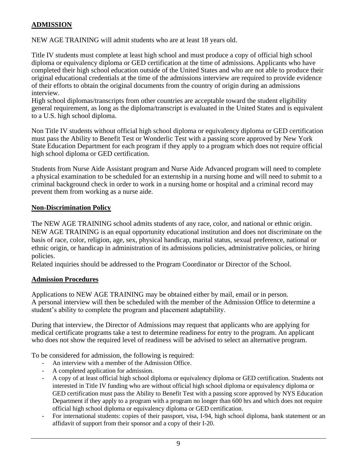# **ADMISSION**

NEW AGE TRAINING will admit students who are at least 18 years old.

Title IV students must complete at least high school and must produce a copy of official high school diploma or equivalency diploma or GED certification at the time of admissions. Applicants who have completed their high school education outside of the United States and who are not able to produce their original educational credentials at the time of the admissions interview are required to provide evidence of their efforts to obtain the original documents from the country of origin during an admissions interview.

High school diplomas/transcripts from other countries are acceptable toward the student eligibility general requirement, as long as the diploma/transcript is evaluated in the United States and is equivalent to a U.S. high school diploma.

Non Title IV students without official high school diploma or equivalency diploma or GED certification must pass the Ability to Benefit Test or Wonderlic Test with a passing score approved by New York State Education Department for each program if they apply to a program which does not require official high school diploma or GED certification.

Students from Nurse Aide Assistant program and Nurse Aide Advanced program will need to complete a physical examination to be scheduled for an externship in a nursing home and will need to submit to a criminal background check in order to work in a nursing home or hospital and a criminal record may prevent them from working as a nurse aide.

#### **Non-Discrimination Policy**

The NEW AGE TRAINING school admits students of any race, color, and national or ethnic origin. NEW AGE TRAINING is an equal opportunity educational institution and does not discriminate on the basis of race, color, religion, age, sex, physical handicap, marital status, sexual preference, national or ethnic origin, or handicap in administration of its admissions policies, administrative policies, or hiring policies.

Related inquiries should be addressed to the Program Coordinator or Director of the School.

#### **Admission Procedures**

Applications to NEW AGE TRAINING may be obtained either by mail, email or in person. A personal interview will then be scheduled with the member of the Admission Office to determine a student's ability to complete the program and placement adaptability.

During that interview, the Director of Admissions may request that applicants who are applying for medical certificate programs take a test to determine readiness for entry to the program. An applicant who does not show the required level of readiness will be advised to select an alternative program.

To be considered for admission, the following is required:

- An interview with a member of the Admission Office.
- A completed application for admission.
- A copy of at least official high school diploma or equivalency diploma or GED certification. Students not interested in Title IV funding who are without official high school diploma or equivalency diploma or GED certification must pass the Ability to Benefit Test with a passing score approved by NYS Education Department if they apply to a program with a program no longer than 600 hrs and which does not require official high school diploma or equivalency diploma or GED certification.
- For international students: copies of their passport, visa, I-94, high school diploma, bank statement or an affidavit of support from their sponsor and a copy of their I-20.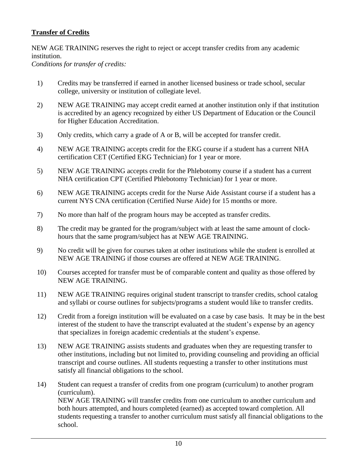# **Transfer of Credits**

NEW AGE TRAINING reserves the right to reject or accept transfer credits from any academic institution.

*Conditions for transfer of credits:*

- 1) Credits may be transferred if earned in another licensed business or trade school, secular college, university or institution of collegiate level.
- 2) NEW AGE TRAINING may accept credit earned at another institution only if that institution is accredited by an agency recognized by either US Department of Education or the Council for Higher Education Accreditation.
- 3) Only credits, which carry a grade of A or B, will be accepted for transfer credit.
- 4) NEW AGE TRAINING accepts credit for the EKG course if a student has a current NHA certification CET (Certified EKG Technician) for 1 year or more.
- 5) NEW AGE TRAINING accepts credit for the Phlebotomy course if a student has a current NHA certification CPT (Certified Phlebotomy Technician) for 1 year or more.
- 6) NEW AGE TRAINING accepts credit for the Nurse Aide Assistant course if a student has a current NYS CNA certification (Certified Nurse Aide) for 15 months or more.
- 7) No more than half of the program hours may be accepted as transfer credits.
- 8) The credit may be granted for the program/subject with at least the same amount of clockhours that the same program/subject has at NEW AGE TRAINING.
- 9) No credit will be given for courses taken at other institutions while the student is enrolled at NEW AGE TRAINING if those courses are offered at NEW AGE TRAINING.
- 10) Courses accepted for transfer must be of comparable content and quality as those offered by NEW AGE TRAINING.
- 11) NEW AGE TRAINING requires original student transcript to transfer credits, school catalog and syllabi or course outlines for subjects/programs a student would like to transfer credits.
- 12) Credit from a foreign institution will be evaluated on a case by case basis. It may be in the best interest of the student to have the transcript evaluated at the student's expense by an agency that specializes in foreign academic credentials at the student's expense.
- 13) NEW AGE TRAINING assists students and graduates when they are requesting transfer to other institutions, including but not limited to, providing counseling and providing an official transcript and course outlines. All students requesting a transfer to other institutions must satisfy all financial obligations to the school.
- 14) Student can request a transfer of credits from one program (curriculum) to another program (curriculum). NEW AGE TRAINING will transfer credits from one curriculum to another curriculum and both hours attempted, and hours completed (earned) as accepted toward completion. All students requesting a transfer to another curriculum must satisfy all financial obligations to the school.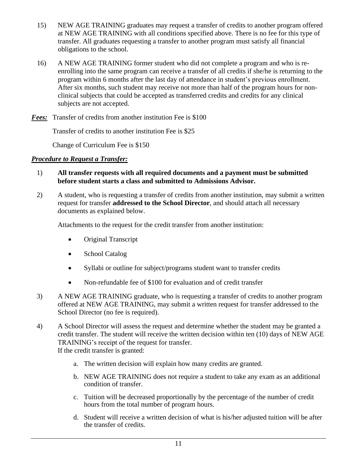- 15) NEW AGE TRAINING graduates may request a transfer of credits to another program offered at NEW AGE TRAINING with all conditions specified above. There is no fee for this type of transfer. All graduates requesting a transfer to another program must satisfy all financial obligations to the school.
- 16) A NEW AGE TRAINING former student who did not complete a program and who is reenrolling into the same program can receive a transfer of all credits if she/he is returning to the program within 6 months after the last day of attendance in student's previous enrollment. After six months, such student may receive not more than half of the program hours for nonclinical subjects that could be accepted as transferred credits and credits for any clinical subjects are not accepted.
- *Fees:* Transfer of credits from another institution Fee is \$100

Transfer of credits to another institution Fee is \$25

Change of Curriculum Fee is \$150

# *Procedure to Request a Transfer:*

- 1) **All transfer requests with all required documents and a payment must be submitted before student starts a class and submitted to Admissions Advisor.**
- 2) A student, who is requesting a transfer of credits from another institution, may submit a written request for transfer **addressed to the School Director**, and should attach all necessary documents as explained below.

Attachments to the request for the credit transfer from another institution:

- Original Transcript
- School Catalog
- Syllabi or outline for subject/programs student want to transfer credits
- Non-refundable fee of \$100 for evaluation and of credit transfer
- 3) A NEW AGE TRAINING graduate, who is requesting a transfer of credits to another program offered at NEW AGE TRAINING, may submit a written request for transfer addressed to the School Director (no fee is required).
- 4) A School Director will assess the request and determine whether the student may be granted a credit transfer. The student will receive the written decision within ten (10) days of NEW AGE TRAINING's receipt of the request for transfer.

If the credit transfer is granted:

- a. The written decision will explain how many credits are granted.
- b. NEW AGE TRAINING does not require a student to take any exam as an additional condition of transfer.
- c. Tuition will be decreased proportionally by the percentage of the number of credit hours from the total number of program hours.
- d. Student will receive a written decision of what is his/her adjusted tuition will be after the transfer of credits.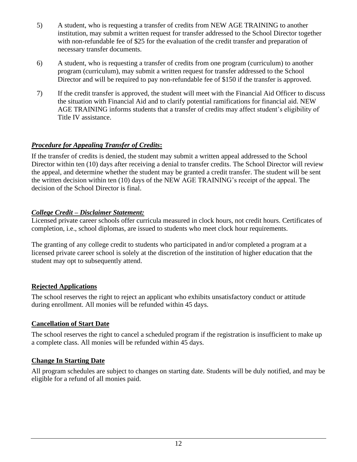- 5) A student, who is requesting a transfer of credits from NEW AGE TRAINING to another institution, may submit a written request for transfer addressed to the School Director together with non-refundable fee of \$25 for the evaluation of the credit transfer and preparation of necessary transfer documents.
- 6) A student, who is requesting a transfer of credits from one program (curriculum) to another program (curriculum), may submit a written request for transfer addressed to the School Director and will be required to pay non-refundable fee of \$150 if the transfer is approved.
- 7) If the credit transfer is approved, the student will meet with the Financial Aid Officer to discuss the situation with Financial Aid and to clarify potential ramifications for financial aid. NEW AGE TRAINING informs students that a transfer of credits may affect student's eligibility of Title IV assistance.

# *Procedure for Appealing Transfer of Credits***:**

If the transfer of credits is denied, the student may submit a written appeal addressed to the School Director within ten (10) days after receiving a denial to transfer credits. The School Director will review the appeal, and determine whether the student may be granted a credit transfer. The student will be sent the written decision within ten (10) days of the NEW AGE TRAINING's receipt of the appeal. The decision of the School Director is final.

# *College Credit – Disclaimer Statement:*

Licensed private career schools offer curricula measured in clock hours, not credit hours. Certificates of completion, i.e., school diplomas, are issued to students who meet clock hour requirements.

The granting of any college credit to students who participated in and/or completed a program at a licensed private career school is solely at the discretion of the institution of higher education that the student may opt to subsequently attend.

# **Rejected Applications**

The school reserves the right to reject an applicant who exhibits unsatisfactory conduct or attitude during enrollment. All monies will be refunded within 45 days.

# **Cancellation of Start Date**

The school reserves the right to cancel a scheduled program if the registration is insufficient to make up a complete class. All monies will be refunded within 45 days.

# **Change In Starting Date**

All program schedules are subject to changes on starting date. Students will be duly notified, and may be eligible for a refund of all monies paid.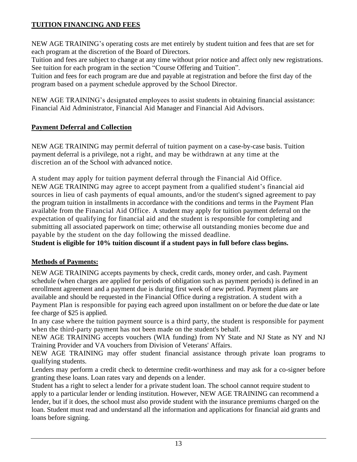# **TUITION FINANCING AND FEES**

NEW AGE TRAINING's operating costs are met entirely by student tuition and fees that are set for each program at the discretion of the Board of Directors.

Tuition and fees are subject to change at any time without prior notice and affect only new registrations. See tuition for each program in the section "Course Offering and Tuition".

Tuition and fees for each program are due and payable at registration and before the first day of the program based on a payment schedule approved by the School Director.

NEW AGE TRAINING's designated employees to assist students in obtaining financial assistance: Financial Aid Administrator, Financial Aid Manager and Financial Aid Advisors.

# **Payment Deferral and Collection**

NEW AGE TRAINING may permit deferral of tuition payment on a case-by-case basis. Tuition payment deferral is a privilege, not a right, and may be withdrawn at any time at the discretion an of the School with advanced notice.

A student may apply for tuition payment deferral through the Financial Aid Office. NEW AGE TRAINING may agree to accept payment from a qualified student's financial aid sources in lieu of cash payments of equal amounts, and/or the student's signed agreement to pay the program tuition in installments in accordance with the conditions and terms in the Payment Plan available from the Financial Aid Office. A student may apply for tuition payment deferral on the expectation of qualifying for financial aid and the student is responsible for completing and submitting all associated paperwork on time; otherwise all outstanding monies become due and payable by the student on the day following the missed deadline.

**Student is eligible for 10% tuition discount if a student pays in full before class begins.**

# **Methods of Payments:**

NEW AGE TRAINING accepts payments by check, credit cards, money order, and cash. Payment schedule (when charges are applied for periods of obligation such as payment periods) is defined in an enrollment agreement and a payment due is during first week of new period. Payment plans are available and should be requested in the Financial Office during a registration. A student with a Payment Plan is responsible for paying each agreed upon installment on or before the due date or late fee charge of \$25 is applied.

In any case where the tuition payment source is a third party, the student is responsible for payment when the third-party payment has not been made on the student's behalf.

NEW AGE TRAINING accepts vouchers (WIA funding) from NY State and NJ State as NY and NJ Training Provider and VA vouchers from Division of Veterans' Affairs.

NEW AGE TRAINING may offer student financial assistance through private loan programs to qualifying students.

Lenders may perform a credit check to determine credit-worthiness and may ask for a co-signer before granting these loans. Loan rates vary and depends on a lender.

Student has a right to select a lender for a private student loan. The school cannot require student to apply to a particular lender or lending institution. However, NEW AGE TRAINING can recommend a lender, but if it does, the school must also provide student with the insurance premiums charged on the loan. Student must read and understand all the information and applications for financial aid grants and loans before signing.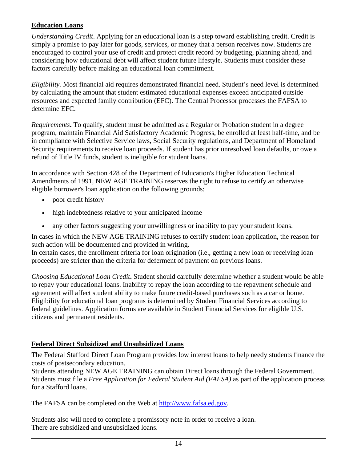# **Education Loans**

*Understanding Credit*. Applying for an educational loan is a step toward establishing credit. Credit is simply a promise to pay later for goods, services, or money that a person receives now. Students are encouraged to control your use of credit and protect credit record by budgeting, planning ahead, and considering how educational debt will affect student future lifestyle. Students must consider these factors carefully before making an educational loan commitment.

*Eligibility.* Most financial aid requires demonstrated financial need. Student's need level is determined by calculating the amount that student estimated educational expenses exceed anticipated outside resources and expected family contribution (EFC). The Central Processor processes the FAFSA to determine EFC.

*Requirements***.** To qualify, student must be admitted as a Regular or Probation student in a degree program, maintain Financial Aid Satisfactory Academic Progress, be enrolled at least half-time, and be in compliance with Selective Service laws, Social Security regulations, and Department of Homeland Security requirements to receive loan proceeds. If student has prior unresolved loan defaults, or owe a refund of Title IV funds, student is ineligible for student loans.

In accordance with Section 428 of the Department of Education's Higher Education Technical Amendments of 1991, NEW AGE TRAINING reserves the right to refuse to certify an otherwise eligible borrower's loan application on the following grounds:

- poor credit history
- high indebtedness relative to your anticipated income
- any other factors suggesting your unwillingness or inability to pay your student loans.

In cases in which the NEW AGE TRAINING refuses to certify student loan application, the reason for such action will be documented and provided in writing.

In certain cases, the enrollment criteria for loan origination (i.e., getting a new loan or receiving loan proceeds) are stricter than the criteria for deferment of payment on previous loans.

*Choosing Educational Loan Credit***.** Student should carefully determine whether a student would be able to repay your educational loans. Inability to repay the loan according to the repayment schedule and agreement will affect student ability to make future credit-based purchases such as a car or home. Eligibility for educational loan programs is determined by Student Financial Services according to federal guidelines. Application forms are available in Student Financial Services for eligible U.S. citizens and permanent residents.

# **Federal Direct Subsidized and Unsubsidized Loans**

The Federal Stafford Direct Loan Program provides low interest loans to help needy students finance the costs of postsecondary education.

Students attending NEW AGE TRAINING can obtain Direct loans through the Federal Government. Students must file a *Free Application for Federal Student Aid (FAFSA)* as part of the application process for a Stafford loans.

The FAFSA can be completed on the Web at [http://www.fafsa.ed.gov.](http://www.fafsa.ed.gov/)

Students also will need to complete a promissory note in order to receive a loan. There are subsidized and unsubsidized loans.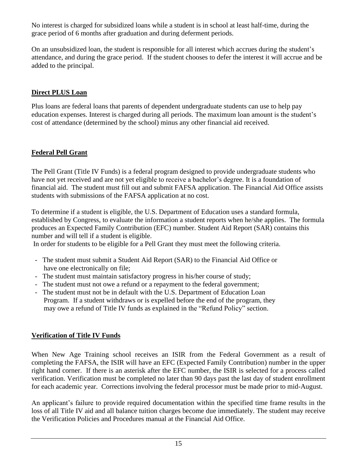No interest is charged for subsidized loans while a student is in school at least half-time, during the grace period of 6 months after graduation and during deferment periods.

On an unsubsidized loan, the student is responsible for all interest which accrues during the student's attendance, and during the grace period. If the student chooses to defer the interest it will accrue and be added to the principal.

# **Direct PLUS Loan**

Plus loans are federal loans that parents of dependent undergraduate students can use to help pay education expenses. Interest is charged during all periods. The maximum loan amount is the student's cost of attendance (determined by the school) minus any other financial aid received.

# **Federal Pell Grant**

The Pell Grant (Title IV Funds) is a federal program designed to provide undergraduate students who have not yet received and are not yet eligible to receive a bachelor's degree. It is a foundation of financial aid. The student must fill out and submit FAFSA application. The Financial Aid Office assists students with submissions of the FAFSA application at no cost.

To determine if a student is eligible, the U.S. Department of Education uses a standard formula, established by Congress, to evaluate the information a student reports when he/she applies. The formula produces an Expected Family Contribution (EFC) number. Student Aid Report (SAR) contains this number and will tell if a student is eligible.

In order for students to be eligible for a Pell Grant they must meet the following criteria.

- The student must submit a Student Aid Report (SAR) to the Financial Aid Office or have one electronically on file;
- The student must maintain satisfactory progress in his/her course of study;
- The student must not owe a refund or a repayment to the federal government;
- The student must not be in default with the U.S. Department of Education Loan Program. If a student withdraws or is expelled before the end of the program, they may owe a refund of Title IV funds as explained in the "Refund Policy" section.

# **Verification of Title IV Funds**

When New Age Training school receives an ISIR from the Federal Government as a result of completing the FAFSA, the ISIR will have an EFC (Expected Family Contribution) number in the upper right hand corner. If there is an asterisk after the EFC number, the ISIR is selected for a process called verification. Verification must be completed no later than 90 days past the last day of student enrollment for each academic year. Corrections involving the federal processor must be made prior to mid-August.

An applicant's failure to provide required documentation within the specified time frame results in the loss of all Title IV aid and all balance tuition charges become due immediately. The student may receive the Verification Policies and Procedures manual at the Financial Aid Office.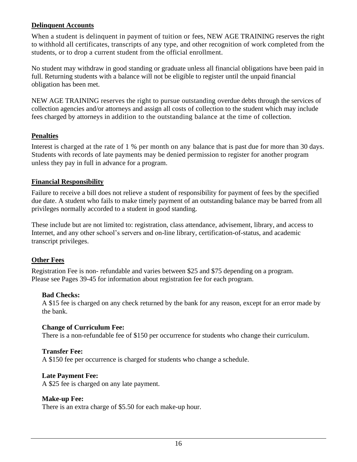# **Delinquent Accounts**

When a student is delinquent in payment of tuition or fees, NEW AGE TRAINING reserves the right to withhold all certificates, transcripts of any type, and other recognition of work completed from the students, or to drop a current student from the official enrollment.

No student may withdraw in good standing or graduate unless all financial obligations have been paid in full. Returning students with a balance will not be eligible to register until the unpaid financial obligation has been met.

NEW AGE TRAINING reserves the right to pursue outstanding overdue debts through the services of collection agencies and/or attorneys and assign all costs of collection to the student which may include fees charged by attorneys in addition to the outstanding balance at the time of collection.

# **Penalties**

Interest is charged at the rate of 1 % per month on any balance that is past due for more than 30 days. Students with records of late payments may be denied permission to register for another program unless they pay in full in advance for a program.

#### **Financial Responsibility**

Failure to receive a bill does not relieve a student of responsibility for payment of fees by the specified due date. A student who fails to make timely payment of an outstanding balance may be barred from all privileges normally accorded to a student in good standing.

These include but are not limited to: registration, class attendance, advisement, library, and access to Internet, and any other school's servers and on-line library, certification-of-status, and academic transcript privileges.

# **Other Fees**

Registration Fee is non- refundable and varies between \$25 and \$75 depending on a program. Please see Pages 39-45 for information about registration fee for each program.

#### **Bad Checks:**

A \$15 fee is charged on any check returned by the bank for any reason, except for an error made by the bank.

#### **Change of Curriculum Fee:**

There is a non-refundable fee of \$150 per occurrence for students who change their curriculum.

#### **Transfer Fee:**

A \$150 fee per occurrence is charged for students who change a schedule.

#### **Late Payment Fee:**

A \$25 fee is charged on any late payment.

#### **Make-up Fee:**

There is an extra charge of \$5.50 for each make-up hour.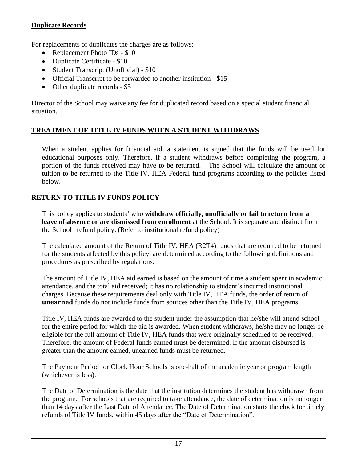# **Duplicate Records**

For replacements of duplicates the charges are as follows:

- Replacement Photo IDs \$10
- Duplicate Certificate \$10
- Student Transcript (Unofficial) \$10
- Official Transcript to be forwarded to another institution \$15
- Other duplicate records \$5

Director of the School may waive any fee for duplicated record based on a special student financial situation.

# **TREATMENT OF TITLE IV FUNDS WHEN A STUDENT WITHDRAWS**

When a student applies for financial aid, a statement is signed that the funds will be used for educational purposes only. Therefore, if a student withdraws before completing the program, a portion of the funds received may have to be returned. The School will calculate the amount of tuition to be returned to the Title IV, HEA Federal fund programs according to the policies listed below.

# **RETURN TO TITLE IV FUNDS POLICY**

This policy applies to students' who **withdraw officially, unofficially or fail to return from a leave of absence or are dismissed from enrollment** at the School. It is separate and distinct from the School refund policy. (Refer to institutional refund policy)

The calculated amount of the Return of Title IV, HEA (R2T4) funds that are required to be returned for the students affected by this policy, are determined according to the following definitions and procedures as prescribed by regulations.

The amount of Title IV, HEA aid earned is based on the amount of time a student spent in academic attendance, and the total aid received; it has no relationship to student's incurred institutional charges. Because these requirements deal only with Title IV, HEA funds, the order of return of **unearned** funds do not include funds from sources other than the Title IV, HEA programs.

Title IV, HEA funds are awarded to the student under the assumption that he/she will attend school for the entire period for which the aid is awarded. When student withdraws, he/she may no longer be eligible for the full amount of Title IV, HEA funds that were originally scheduled to be received. Therefore, the amount of Federal funds earned must be determined. If the amount disbursed is greater than the amount earned, unearned funds must be returned.

The Payment Period for Clock Hour Schools is one-half of the academic year or program length (whichever is less).

The Date of Determination is the date that the institution determines the student has withdrawn from the program. For schools that are required to take attendance, the date of determination is no longer than 14 days after the Last Date of Attendance. The Date of Determination starts the clock for timely refunds of Title IV funds, within 45 days after the "Date of Determination".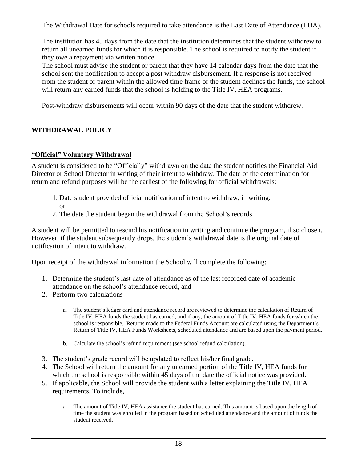The Withdrawal Date for schools required to take attendance is the Last Date of Attendance (LDA).

The institution has 45 days from the date that the institution determines that the student withdrew to return all unearned funds for which it is responsible. The school is required to notify the student if they owe a repayment via written notice.

The school must advise the student or parent that they have 14 calendar days from the date that the school sent the notification to accept a post withdraw disbursement. If a response is not received from the student or parent within the allowed time frame or the student declines the funds, the school will return any earned funds that the school is holding to the Title IV, HEA programs.

Post-withdraw disbursements will occur within 90 days of the date that the student withdrew.

# **WITHDRAWAL POLICY**

# **"Official" Voluntary Withdrawal**

A student is considered to be "Officially" withdrawn on the date the student notifies the Financial Aid Director or School Director in writing of their intent to withdraw. The date of the determination for return and refund purposes will be the earliest of the following for official withdrawals:

- 1. Date student provided official notification of intent to withdraw, in writing. or
- 2. The date the student began the withdrawal from the School's records.

A student will be permitted to rescind his notification in writing and continue the program, if so chosen. However, if the student subsequently drops, the student's withdrawal date is the original date of notification of intent to withdraw.

Upon receipt of the withdrawal information the School will complete the following:

- 1. Determine the student's last date of attendance as of the last recorded date of academic attendance on the school's attendance record, and
- 2. Perform two calculations
	- a. The student's ledger card and attendance record are reviewed to determine the calculation of Return of Title IV, HEA funds the student has earned, and if any, the amount of Title IV, HEA funds for which the school is responsible. Returns made to the Federal Funds Account are calculated using the Department's Return of Title IV, HEA Funds Worksheets, scheduled attendance and are based upon the payment period.
	- b. Calculate the school's refund requirement (see school refund calculation).
- 3. The student's grade record will be updated to reflect his/her final grade.
- 4. The School will return the amount for any unearned portion of the Title IV, HEA funds for which the school is responsible within 45 days of the date the official notice was provided.
- 5. If applicable, the School will provide the student with a letter explaining the Title IV, HEA requirements. To include,
	- a. The amount of Title IV, HEA assistance the student has earned. This amount is based upon the length of time the student was enrolled in the program based on scheduled attendance and the amount of funds the student received.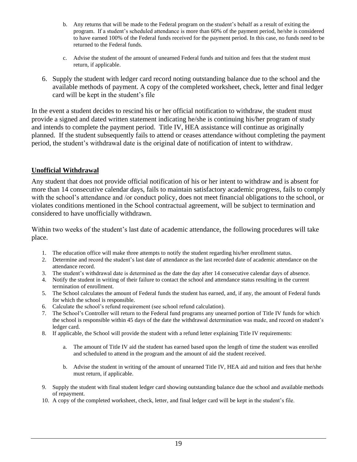- b. Any returns that will be made to the Federal program on the student's behalf as a result of exiting the program. If a student's scheduled attendance is more than 60% of the payment period, he/she is considered to have earned 100% of the Federal funds received for the payment period. In this case, no funds need to be returned to the Federal funds.
- c. Advise the student of the amount of unearned Federal funds and tuition and fees that the student must return, if applicable.
- 6. Supply the student with ledger card record noting outstanding balance due to the school and the available methods of payment. A copy of the completed worksheet, check, letter and final ledger card will be kept in the student's file

In the event a student decides to rescind his or her official notification to withdraw, the student must provide a signed and dated written statement indicating he/she is continuing his/her program of study and intends to complete the payment period. Title IV, HEA assistance will continue as originally planned. If the student subsequently fails to attend or ceases attendance without completing the payment period, the student's withdrawal date is the original date of notification of intent to withdraw.

#### **Unofficial Withdrawal**

Any student that does not provide official notification of his or her intent to withdraw and is absent for more than 14 consecutive calendar days, fails to maintain satisfactory academic progress, fails to comply with the school's attendance and /or conduct policy, does not meet financial obligations to the school, or violates conditions mentioned in the School contractual agreement, will be subject to termination and considered to have unofficially withdrawn.

Within two weeks of the student's last date of academic attendance, the following procedures will take place.

- 1. The education office will make three attempts to notify the student regarding his/her enrollment status.
- 2. Determine and record the student's last date of attendance as the last recorded date of academic attendance on the attendance record.
- 3. The student's withdrawal date is determined as the date the day after 14 consecutive calendar days of absence.
- 4. Notify the student in writing of their failure to contact the school and attendance status resulting in the current termination of enrollment.
- 5. The School calculates the amount of Federal funds the student has earned, and, if any, the amount of Federal funds for which the school is responsible.
- 6. Calculate the school's refund requirement (see school refund calculation).
- 7. The School's Controller will return to the Federal fund programs any unearned portion of Title IV funds for which the school is responsible within 45 days of the date the withdrawal determination was made, and record on student's ledger card.
- 8. If applicable, the School will provide the student with a refund letter explaining Title IV requirements:
	- a. The amount of Title IV aid the student has earned based upon the length of time the student was enrolled and scheduled to attend in the program and the amount of aid the student received.
	- b. Advise the student in writing of the amount of unearned Title IV, HEA aid and tuition and fees that he/she must return, if applicable.
- 9. Supply the student with final student ledger card showing outstanding balance due the school and available methods of repayment.
- 10. A copy of the completed worksheet, check, letter, and final ledger card will be kept in the student's file.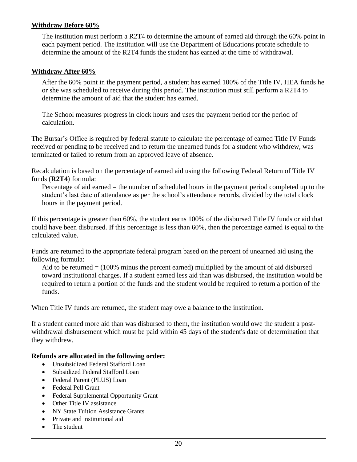#### **Withdraw Before 60%**

The institution must perform a R2T4 to determine the amount of earned aid through the 60% point in each payment period. The institution will use the Department of Educations prorate schedule to determine the amount of the R2T4 funds the student has earned at the time of withdrawal.

#### **Withdraw After 60%**

After the 60% point in the payment period, a student has earned 100% of the Title IV, HEA funds he or she was scheduled to receive during this period. The institution must still perform a R2T4 to determine the amount of aid that the student has earned.

The School measures progress in clock hours and uses the payment period for the period of calculation.

The Bursar's Office is required by federal statute to calculate the percentage of earned Title IV Funds received or pending to be received and to return the unearned funds for a student who withdrew, was terminated or failed to return from an approved leave of absence.

Recalculation is based on the percentage of earned aid using the following Federal Return of Title IV funds (**R2T4**) formula:

Percentage of aid earned = the number of scheduled hours in the payment period completed up to the student's last date of attendance as per the school's attendance records, divided by the total clock hours in the payment period.

If this percentage is greater than 60%, the student earns 100% of the disbursed Title IV funds or aid that could have been disbursed. If this percentage is less than 60%, then the percentage earned is equal to the calculated value.

Funds are returned to the appropriate federal program based on the percent of unearned aid using the following formula:

Aid to be returned = (100% minus the percent earned) multiplied by the amount of aid disbursed toward institutional charges. If a student earned less aid than was disbursed, the institution would be required to return a portion of the funds and the student would be required to return a portion of the funds.

When Title IV funds are returned, the student may owe a balance to the institution.

If a student earned more aid than was disbursed to them, the institution would owe the student a postwithdrawal disbursement which must be paid within 45 days of the student's date of determination that they withdrew.

#### **Refunds are allocated in the following order:**

- Unsubsidized Federal Stafford Loan
- Subsidized Federal Stafford Loan
- Federal Parent (PLUS) Loan
- Federal Pell Grant
- Federal Supplemental Opportunity Grant
- Other Title IV assistance
- NY State Tuition Assistance Grants
- Private and institutional aid
- The student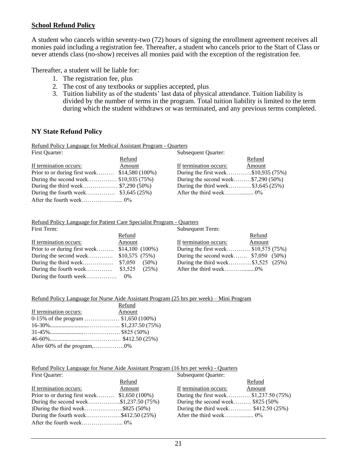#### **School Refund Policy**

A student who cancels within seventy-two (72) hours of signing the enrollment agreement receives all monies paid including a registration fee. Thereafter, a student who cancels prior to the Start of Class or never attends class (no-show) receives all monies paid with the exception of the registration fee.

Thereafter, a student will be liable for:

- 1. The registration fee, plus
- 2. The cost of any textbooks or supplies accepted, plus
- 3. Tuition liability as of the students' last data of physical attendance. Tuition liability is divided by the number of terms in the program. Total tuition liability is limited to the term during which the student withdraws or was terminated, and any previous terms completed.

#### **NY State Refund Policy**

Refund Policy Language for Medical Assistant Program - Quarters

| First Quarter:                                  |        | Subsequent Quarter:                   |        |
|-------------------------------------------------|--------|---------------------------------------|--------|
|                                                 | Refund |                                       | Refund |
| If termination occurs:                          | Amount | If termination occurs:                | Amount |
| Prior to or during first week $$14,580 (100\%)$ |        | During the first week\$10,935 (75%)   |        |
| During the second week $$10,935(75%)$           |        | During the second week $$7,290 (50%)$ |        |
| During the third week $$7,290 (50%)$            |        | During the third week\$3,645 $(25%)$  |        |
| During the fourth week \$3,645 (25%)            |        |                                       |        |
|                                                 |        |                                       |        |

#### Refund Policy Language for Patient Care Specialist Program - Quarters

| First Term:                                    |          | Subsequent Term:                      |
|------------------------------------------------|----------|---------------------------------------|
|                                                | Refund   | Refund                                |
| If termination occurs:                         | Amount   | If termination occurs:<br>Amount      |
| Prior to or during first week $$14,100$ (100%) |          | During the first week \$10,575 (75%)  |
| During the second week $$10,575$ (75%)         |          | During the second week $$7,050$ (50%) |
|                                                | $(50\%)$ | During the third week\$3,525 $(25\%)$ |
| During the fourth week $$3,525$                | (25%)    |                                       |
|                                                |          |                                       |

#### Refund Policy Language for Nurse Aide Assistant Program (25 hrs per week) – Mini Program

|                                      | Refund |  |
|--------------------------------------|--------|--|
| If termination occurs:               | Amount |  |
| 0-15% of the program  \$1,650 (100%) |        |  |
|                                      |        |  |
|                                      |        |  |
|                                      |        |  |
| After 60% of the program,0%          |        |  |

Refund Policy Language for Nurse Aide Assistant Program (16 hrs per week) - Quarters

| First Quarter:                                |        | Subsequent Quarter:                     |        |
|-----------------------------------------------|--------|-----------------------------------------|--------|
|                                               | Refund |                                         | Refund |
| If termination occurs:                        | Amount | If termination occurs:                  | Amount |
| Prior to or during first week $$1,650(100\%)$ |        | During the first week \$1,237.50 (75%)  |        |
| During the second week\$1,237.50 (75%)        |        | During the second week \$825 (50%)      |        |
| )During the third week\$825 $(50\%)$          |        | During the third week \$412.50 $(25\%)$ |        |
| During the fourth week\$412.50 $(25\%)$       |        |                                         |        |
|                                               |        |                                         |        |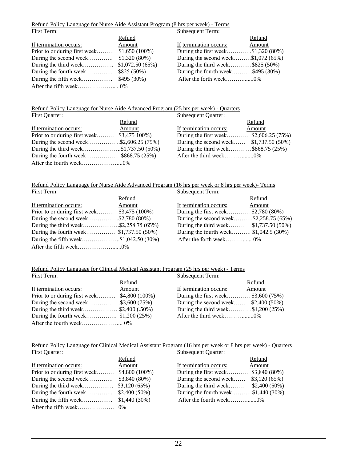#### Refund Policy Language for Nurse Aide Assistant Program (8 hrs per week) - Terms

| First Term:                                    |                | Subsequent Term:                      |        |
|------------------------------------------------|----------------|---------------------------------------|--------|
|                                                | Refund         |                                       | Refund |
| If termination occurs:                         | Amount         | If termination occurs:                | Amount |
| Prior to or during first week $$1,650 (100\%)$ |                | During the first week\$1,320 $(80\%)$ |        |
| During the second week                         | $$1,320(80\%)$ | During the second week $$1,072(65%)$  |        |
|                                                |                | During the third week\$825 $(50\%)$   |        |
| During the fourth week $$825 (50%)$            |                | During the fourth week\$495 (30%)     |        |
| During the fifth week $$495 (30%)$             |                |                                       |        |
|                                                |                |                                       |        |

# Refund Policy Language for Nurse Aide Advanced Program (25 hrs per week) - Quarters

| First Quarter:                               |        | <b>Subsequent Quarter:</b>               |        |
|----------------------------------------------|--------|------------------------------------------|--------|
|                                              | Refund |                                          | Refund |
| If termination occurs:                       | Amount | If termination occurs:                   | Amount |
| Prior to or during first week $$3,475,100\%$ |        | During the first week \$2,606.25 (75%)   |        |
| During the second week\$2,606.25 (75%)       |        | During the second week $$1,737.50 (50%)$ |        |
| During the third week\$1,737.50 (50%)        |        | During the third week\$868.75 $(25%)$    |        |
| During the fourth week\$868.75 $(25\%)$      |        |                                          |        |
|                                              |        |                                          |        |

#### Refund Policy Language for Nurse Aide Advanced Program (16 hrs per week or 8 hrs per week)- Terms First Term: Subsequent Term: Subsequent Term:

|                                                | Refund |                                           | Refund |
|------------------------------------------------|--------|-------------------------------------------|--------|
| If termination occurs:                         | Amount | If termination occurs:                    | Amount |
| Prior to or during first week $$3,475 (100\%)$ |        | During the first week \$2,780 $(80\%)$    |        |
| During the second week\$2,780 $(80\%)$         |        | During the second week\$2,258.75 $(65\%)$ |        |
| During the third week\$2,258.75 (65%)          |        | During the third week $$1,737.50 (50%)$   |        |
|                                                |        | During the fourth week $$1,042.5(30%)$    |        |
| During the fifth week\$1,042.50 (30%)          |        |                                           |        |
|                                                |        |                                           |        |
|                                                |        |                                           |        |

# Refund Policy Language for Clinical Medical Assistant Program (25 hrs per week) - Terms<br>First Term: Subsequent Term:

| First Term:                                    |        | Subsequent Term:                       |        |
|------------------------------------------------|--------|----------------------------------------|--------|
|                                                | Refund |                                        | Refund |
| If termination occurs:                         | Amount | If termination occurs:                 | Amount |
| Prior to or during first week $$4,800 (100\%)$ |        | During the first week \$3,600 (75%)    |        |
| During the second week\$3,600 $(75%)$          |        | During the second week $$2,400 (50\%)$ |        |
| During the third week \$2,400 (.50%)           |        | During the third week\$1,200 $(25\%)$  |        |
|                                                |        |                                        |        |
|                                                |        |                                        |        |

#### Refund Policy Language for Clinical Medical Assistant Program (16 hrs per week or 8 hrs per week) - Quarters<br>First Quarter: Subsequent Quarter: Subsequent Quarter:

| $1.000$ values.                                |               | 5a                                     |        |
|------------------------------------------------|---------------|----------------------------------------|--------|
|                                                | Refund        |                                        | Refund |
| If termination occurs:                         | Amount        | If termination occurs:                 | Amount |
| Prior to or during first week $$4,800 (100\%)$ |               | During the first week $$3,840 (80%)$   |        |
| During the second week                         | \$3,840 (80%) | During the second week $$3,120 (65%)$  |        |
|                                                | \$3,120(65%)  | During the third week $$2,400 (50\%)$  |        |
|                                                |               | During the fourth week $$1,440 (30\%)$ |        |
|                                                |               |                                        |        |
|                                                |               |                                        |        |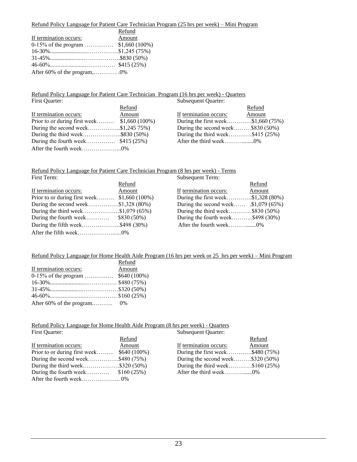#### Refund Policy Language for Patient Care Technician Program (25 hrs per week) – Mini Program

|                                      | Refund |
|--------------------------------------|--------|
| If termination occurs:               | Amount |
| 0-15% of the program  \$1,660 (100%) |        |
|                                      |        |
|                                      |        |
|                                      |        |
|                                      |        |

Refund Policy Language for Patient Care Technician Program (16 hrs per week) - Quarters

| First Quarter:                                 |        | Subsequent Quarter:                  |        |
|------------------------------------------------|--------|--------------------------------------|--------|
|                                                | Refund |                                      | Refund |
| If termination occurs:                         | Amount | If termination occurs:               | Amount |
| Prior to or during first week $$1,660 (100\%)$ |        | During the first week\$1,660 (75%)   |        |
| During the second week\$1,245 75%)             |        | During the second week\$830 $(50\%)$ |        |
| During the third week\$830 $(50\%)$            |        | During the third week\$415 $(25%)$   |        |
| During the fourth week $$415 (25%)$            |        |                                      |        |
|                                                |        |                                      |        |

#### Refund Policy Language for Patient Care Technician Program (8 hrs per week) - Terms

| First Term:                                    |        | Subsequent Term:                         |        |
|------------------------------------------------|--------|------------------------------------------|--------|
|                                                | Refund |                                          | Refund |
| If termination occurs:                         | Amount | If termination occurs:                   | Amount |
| Prior to or during first week $$1,660 (100\%)$ |        | During the first week\$1,328 $(80\%)$    |        |
| During the second week\$1,328 $(80\%)$         |        | During the second week $. \$1,079(65\%)$ |        |
| During the third week\$1,079 (65%)             |        | During the third week\$830 $(50\%)$      |        |
| During the fourth week $$830 (50\%)$           |        | During the fourth week\$498 $(30\%)$     |        |
| During the fifth week\$498 $(30\%)$            |        |                                          |        |
|                                                |        |                                          |        |

#### Refund Policy Language for Home Health Aide Program (16 hrs per week or 25 hrs per week) – Mini Program

|                                    | Refund |
|------------------------------------|--------|
| If termination occurs:             | Amount |
| 0-15% of the program  \$640 (100%) |        |
|                                    |        |
|                                    |        |
|                                    |        |
|                                    |        |

#### Refund Policy Language for Home Health Aide Program (8 hrs per week) - Quarters

| First Quarter:                               |        | <b>Subsequent Quarter:</b>           |        |
|----------------------------------------------|--------|--------------------------------------|--------|
|                                              | Refund |                                      | Refund |
| If termination occurs:                       | Amount | If termination occurs:               | Amount |
| Prior to or during first week $$640 (100\%)$ |        | During the first week\$480 (75%)     |        |
| During the second week\$480 $(75%)$          |        | During the second week $$320 (50\%)$ |        |
| During the third week\$320 $(50\%)$          |        | During the third week\$160 $(25\%)$  |        |
| During the fourth week $$160 (25%)$          |        |                                      |        |
|                                              |        |                                      |        |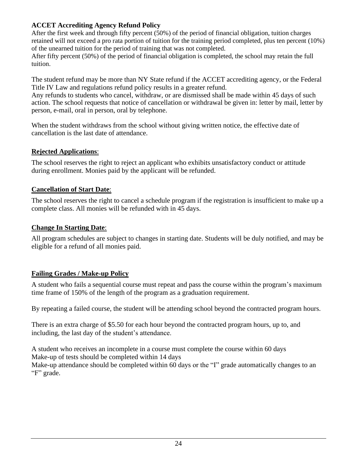# **ACCET Accrediting Agency Refund Policy**

After the first week and through fifty percent (50%) of the period of financial obligation, tuition charges retained will not exceed a pro rata portion of tuition for the training period completed, plus ten percent (10%) of the unearned tuition for the period of training that was not completed.

After fifty percent (50%) of the period of financial obligation is completed, the school may retain the full tuition.

The student refund may be more than NY State refund if the ACCET accrediting agency, or the Federal Title IV Law and regulations refund policy results in a greater refund.

Any refunds to students who cancel, withdraw, or are dismissed shall be made within 45 days of such action. The school requests that notice of cancellation or withdrawal be given in: letter by mail, letter by person, e-mail, oral in person, oral by telephone.

When the student withdraws from the school without giving written notice, the effective date of cancellation is the last date of attendance.

# **Rejected Applications**:

The school reserves the right to reject an applicant who exhibits unsatisfactory conduct or attitude during enrollment. Monies paid by the applicant will be refunded.

# **Cancellation of Start Date**:

The school reserves the right to cancel a schedule program if the registration is insufficient to make up a complete class. All monies will be refunded with in 45 days.

# **Change In Starting Date**:

All program schedules are subject to changes in starting date. Students will be duly notified, and may be eligible for a refund of all monies paid.

# **Failing Grades / Make-up Policy**

A student who fails a sequential course must repeat and pass the course within the program's maximum time frame of 150% of the length of the program as a graduation requirement.

By repeating a failed course, the student will be attending school beyond the contracted program hours.

There is an extra charge of \$5.50 for each hour beyond the contracted program hours, up to, and including, the last day of the student's attendance.

A student who receives an incomplete in a course must complete the course within 60 days Make-up of tests should be completed within 14 days Make-up attendance should be completed within 60 days or the "I" grade automatically changes to an "F" grade.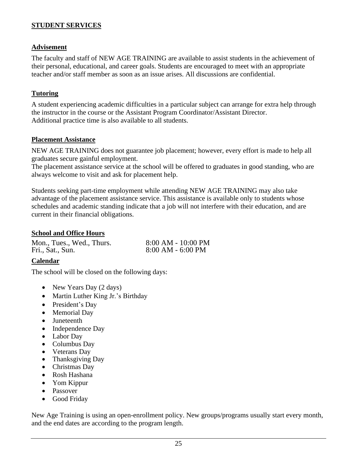# **STUDENT SERVICES**

#### **Advisement**

The faculty and staff of NEW AGE TRAINING are available to assist students in the achievement of their personal, educational, and career goals. Students are encouraged to meet with an appropriate teacher and/or staff member as soon as an issue arises. All discussions are confidential.

#### **Tutoring**

A student experiencing academic difficulties in a particular subject can arrange for extra help through the instructor in the course or the Assistant Program Coordinator/Assistant Director. Additional practice time is also available to all students.

#### **Placement Assistance**

NEW AGE TRAINING does not guarantee job placement; however, every effort is made to help all graduates secure gainful employment.

The placement assistance service at the school will be offered to graduates in good standing, who are always welcome to visit and ask for placement help.

Students seeking part-time employment while attending NEW AGE TRAINING may also take advantage of the placement assistance service. This assistance is available only to students whose schedules and academic standing indicate that a job will not interfere with their education, and are current in their financial obligations.

### **School and Office Hours**

Mon., Tues., Wed., Thurs. 8:00 AM - 10:00 PM<br>Fri., Sat., Sun. 8:00 AM - 6:00 PM

 $8:00$  AM - 6:00 PM

# **Calendar**

The school will be closed on the following days:

- New Years Day (2 days)
- Martin Luther King Jr.'s Birthday
- President's Day
- Memorial Day
- Juneteenth
- Independence Day
- Labor Day
- Columbus Day
- Veterans Day
- Thanksgiving Day
- Christmas Day
- Rosh Hashana
- Yom Kippur
- Passover
- Good Friday

New Age Training is using an open-enrollment policy. New groups/programs usually start every month, and the end dates are according to the program length.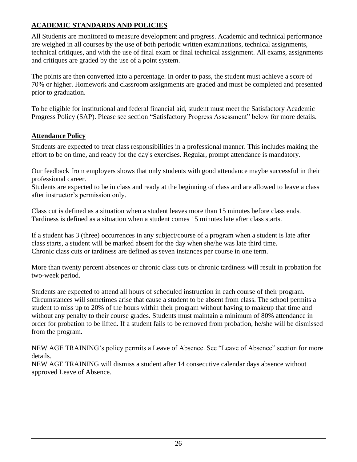# **ACADEMIC STANDARDS AND POLICIES**

All Students are monitored to measure development and progress. Academic and technical performance are weighed in all courses by the use of both periodic written examinations, technical assignments, technical critiques, and with the use of final exam or final technical assignment. All exams, assignments and critiques are graded by the use of a point system.

The points are then converted into a percentage. In order to pass, the student must achieve a score of 70% or higher. Homework and classroom assignments are graded and must be completed and presented prior to graduation.

To be eligible for institutional and federal financial aid, student must meet the Satisfactory Academic Progress Policy (SAP). Please see section "Satisfactory Progress Assessment" below for more details.

# **Attendance Policy**

Students are expected to treat class responsibilities in a professional manner. This includes making the effort to be on time, and ready for the day's exercises. Regular, prompt attendance is mandatory.

Our feedback from employers shows that only students with good attendance maybe successful in their professional career.

Students are expected to be in class and ready at the beginning of class and are allowed to leave a class after instructor's permission only.

Class cut is defined as a situation when a student leaves more than 15 minutes before class ends. Tardiness is defined as a situation when a student comes 15 minutes late after class starts.

If a student has 3 (three) occurrences in any subject/course of a program when a student is late after class starts, a student will be marked absent for the day when she/he was late third time. Chronic class cuts or tardiness are defined as seven instances per course in one term.

More than twenty percent absences or chronic class cuts or chronic tardiness will result in probation for two-week period.

Students are expected to attend all hours of scheduled instruction in each course of their program. Circumstances will sometimes arise that cause a student to be absent from class. The school permits a student to miss up to 20% of the hours within their program without having to makeup that time and without any penalty to their course grades. Students must maintain a minimum of 80% attendance in order for probation to be lifted. If a student fails to be removed from probation, he/she will be dismissed from the program.

NEW AGE TRAINING's policy permits a Leave of Absence. See "Leave of Absence" section for more details.

NEW AGE TRAINING will dismiss a student after 14 consecutive calendar days absence without approved Leave of Absence.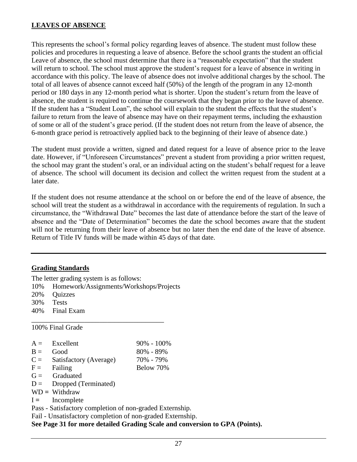## **LEAVES OF ABSENCE**

This represents the school's formal policy regarding leaves of absence. The student must follow these policies and procedures in requesting a leave of absence. Before the school grants the student an official Leave of absence, the school must determine that there is a "reasonable expectation" that the student will return to school. The school must approve the student's request for a leave of absence in writing in accordance with this policy. The leave of absence does not involve additional charges by the school. The total of all leaves of absence cannot exceed half (50%) of the length of the program in any 12-month period or 180 days in any 12-month period what is shorter. Upon the student's return from the leave of absence, the student is required to continue the coursework that they began prior to the leave of absence. If the student has a "Student Loan", the school will explain to the student the effects that the student's failure to return from the leave of absence may have on their repayment terms, including the exhaustion of some or all of the student's grace period. (If the student does not return from the leave of absence, the 6-month grace period is retroactively applied back to the beginning of their leave of absence date.)

The student must provide a written, signed and dated request for a leave of absence prior to the leave date. However, if "Unforeseen Circumstances" prevent a student from providing a prior written request, the school may grant the student's oral, or an individual acting on the student's behalf request for a leave of absence. The school will document its decision and collect the written request from the student at a later date.

If the student does not resume attendance at the school on or before the end of the leave of absence, the school will treat the student as a withdrawal in accordance with the requirements of regulation. In such a circumstance, the "Withdrawal Date" becomes the last date of attendance before the start of the leave of absence and the "Date of Determination" becomes the date the school becomes aware that the student will not be returning from their leave of absence but no later then the end date of the leave of absence. Return of Title IV funds will be made within 45 days of that date.

#### **Grading Standards**

|            | The letter grading system is as follows:                   |                |  |  |  |
|------------|------------------------------------------------------------|----------------|--|--|--|
| 10%        | Homework/Assignments/Workshops/Projects                    |                |  |  |  |
| 20%        | <b>Quizzes</b>                                             |                |  |  |  |
| 30% Tests  |                                                            |                |  |  |  |
|            | 40% Final Exam                                             |                |  |  |  |
|            |                                                            |                |  |  |  |
|            | 100% Final Grade                                           |                |  |  |  |
|            |                                                            |                |  |  |  |
| $A =$      | Excellent                                                  | $90\% - 100\%$ |  |  |  |
| $B =$ Good |                                                            | 80% - 89%      |  |  |  |
|            | $C =$ Satisfactory (Average)                               | 70% - 79%      |  |  |  |
| $F =$      | Failing                                                    | Below 70%      |  |  |  |
|            | $G =$ Graduated                                            |                |  |  |  |
|            | $D =$ Dropped (Terminated)                                 |                |  |  |  |
|            | $WD = Without$                                             |                |  |  |  |
| $I =$      | Incomplete                                                 |                |  |  |  |
|            | Pass - Satisfactory completion of non-graded Externship.   |                |  |  |  |
|            | Fail - Unsatisfactory completion of non-graded Externship. |                |  |  |  |
|            |                                                            |                |  |  |  |

**See Page 31 for more detailed Grading Scale and conversion to GPA (Points).**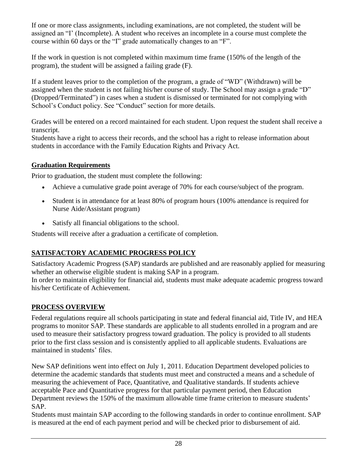If one or more class assignments, including examinations, are not completed, the student will be assigned an "I' (Incomplete). A student who receives an incomplete in a course must complete the course within 60 days or the "I" grade automatically changes to an "F".

If the work in question is not completed within maximum time frame (150% of the length of the program), the student will be assigned a failing grade (F).

If a student leaves prior to the completion of the program, a grade of "WD" (Withdrawn) will be assigned when the student is not failing his/her course of study. The School may assign a grade "D" (Dropped/Terminated") in cases when a student is dismissed or terminated for not complying with School's Conduct policy. See "Conduct" section for more details.

Grades will be entered on a record maintained for each student. Upon request the student shall receive a transcript.

Students have a right to access their records, and the school has a right to release information about students in accordance with the Family Education Rights and Privacy Act.

# **Graduation Requirements**

Prior to graduation, the student must complete the following:

- Achieve a cumulative grade point average of 70% for each course/subject of the program.
- Student is in attendance for at least 80% of program hours (100% attendance is required for Nurse Aide/Assistant program)
- Satisfy all financial obligations to the school.

Students will receive after a graduation a certificate of completion.

# **SATISFACTORY ACADEMIC PROGRESS POLICY**

Satisfactory Academic Progress (SAP) standards are published and are reasonably applied for measuring whether an otherwise eligible student is making SAP in a program.

In order to maintain eligibility for financial aid, students must make adequate academic progress toward his/her Certificate of Achievement.

# **PROCESS OVERVIEW**

Federal regulations require all schools participating in state and federal financial aid, Title IV, and HEA programs to monitor SAP. These standards are applicable to all students enrolled in a program and are used to measure their satisfactory progress toward graduation. The policy is provided to all students prior to the first class session and is consistently applied to all applicable students. Evaluations are maintained in students' files.

New SAP definitions went into effect on July 1, 2011. Education Department developed policies to determine the academic standards that students must meet and constructed a means and a schedule of measuring the achievement of Pace, Quantitative, and Qualitative standards. If students achieve acceptable Pace and Quantitative progress for that particular payment period, then Education Department reviews the 150% of the maximum allowable time frame criterion to measure students' SAP.

Students must maintain SAP according to the following standards in order to continue enrollment. SAP is measured at the end of each payment period and will be checked prior to disbursement of aid.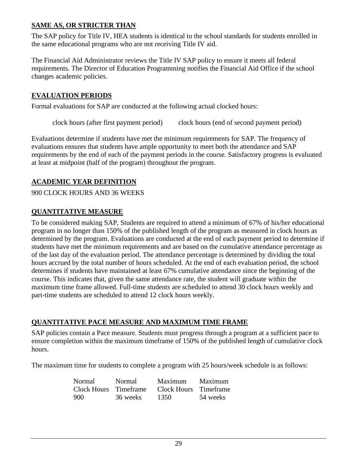# **SAME AS, OR STRICTER THAN**

The SAP policy for Title IV, HEA students is identical to the school standards for students enrolled in the same educational programs who are not receiving Title IV aid.

The Financial Aid Administrator reviews the Title IV SAP policy to ensure it meets all federal requirements. The Director of Education Programming notifies the Financial Aid Office if the school changes academic policies.

# **EVALUATION PERIODS**

Formal evaluations for SAP are conducted at the following actual clocked hours:

clock hours (after first payment period) clock hours (end of second payment period)

Evaluations determine if students have met the minimum requirements for SAP. The frequency of evaluations ensures that students have ample opportunity to meet both the attendance and SAP requirements by the end of each of the payment periods in the course. Satisfactory progress is evaluated at least at midpoint (half of the program) throughout the program.

# **ACADEMIC YEAR DEFINITION**

900 CLOCK HOURS AND 36 WEEKS

# **QUANTITATIVE MEASURE**

To be considered making SAP, Students are required to attend a minimum of 67% of his/her educational program in no longer than 150% of the published length of the program as measured in clock hours as determined by the program. Evaluations are conducted at the end of each payment period to determine if students have met the minimum requirements and are based on the cumulative attendance percentage as of the last day of the evaluation period. The attendance percentage is determined by dividing the total hours accrued by the total number of hours scheduled. At the end of each evaluation period, the school determines if students have maintained at least 67% cumulative attendance since the beginning of the course. This indicates that, given the same attendance rate, the student will graduate within the maximum time frame allowed. Full-time students are scheduled to attend 30 clock hours weekly and part-time students are scheduled to attend 12 clock hours weekly.

# **QUANTITATIVE PACE MEASURE AND MAXIMUM TIME FRAME**

SAP policies contain a Pace measure. Students must progress through a program at a sufficient pace to ensure completion within the maximum timeframe of 150% of the published length of cumulative clock hours.

The maximum time for students to complete a program with 25 hours/week schedule is as follows:

| Normal                | <b>Normal</b> | Maximum               | Maximum  |
|-----------------------|---------------|-----------------------|----------|
| Clock Hours Timeframe |               | Clock Hours Timeframe |          |
| 900.                  | 36 weeks      | 1350                  | 54 weeks |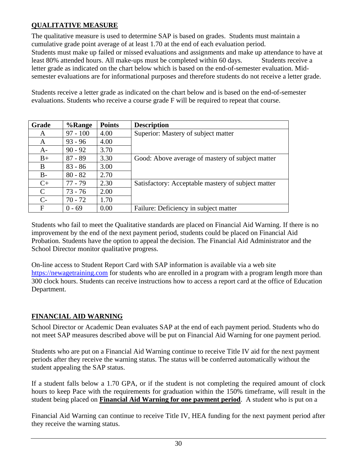# **QUALITATIVE MEASURE**

The qualitative measure is used to determine SAP is based on grades. Students must maintain a cumulative grade point average of at least 1.70 at the end of each evaluation period. Students must make up failed or missed evaluations and assignments and make up attendance to have at least 80% attended hours. All make-ups must be completed within 60 days. Students receive a letter grade as indicated on the chart below which is based on the end-of-semester evaluation. Midsemester evaluations are for informational purposes and therefore students do not receive a letter grade.

Students receive a letter grade as indicated on the chart below and is based on the end-of-semester evaluations. Students who receive a course grade F will be required to repeat that course.

| Grade         | %Range     | <b>Points</b> | <b>Description</b>                                 |
|---------------|------------|---------------|----------------------------------------------------|
| A             | $97 - 100$ | 4.00          | Superior: Mastery of subject matter                |
| A             | $93 - 96$  | 4.00          |                                                    |
| A-            | $90 - 92$  | 3.70          |                                                    |
| $B+$          | $87 - 89$  | 3.30          | Good: Above average of mastery of subject matter   |
| B             | $83 - 86$  | 3.00          |                                                    |
| B-            | $80 - 82$  | 2.70          |                                                    |
| $C+$          | $77 - 79$  | 2.30          | Satisfactory: Acceptable mastery of subject matter |
| $\mathcal{C}$ | $73 - 76$  | 2.00          |                                                    |
| $C-$          | $70 - 72$  | 1.70          |                                                    |
| F             | $0 - 69$   | 0.00          | Failure: Deficiency in subject matter              |

Students who fail to meet the Qualitative standards are placed on Financial Aid Warning. If there is no improvement by the end of the next payment period, students could be placed on Financial Aid Probation. Students have the option to appeal the decision. The Financial Aid Administrator and the School Director monitor qualitative progress.

On-line access to Student Report Card with SAP information is available via a web site [https://newagetraining.com](https://newagetraining.com/) for students who are enrolled in a program with a program length more than 300 clock hours. Students can receive instructions how to access a report card at the office of Education Department.

# **FINANCIAL AID WARNING**

School Director or Academic Dean evaluates SAP at the end of each payment period. Students who do not meet SAP measures described above will be put on Financial Aid Warning for one payment period.

Students who are put on a Financial Aid Warning continue to receive Title IV aid for the next payment periods after they receive the warning status. The status will be conferred automatically without the student appealing the SAP status.

If a student falls below a 1.70 GPA, or if the student is not completing the required amount of clock hours to keep Pace with the requirements for graduation within the 150% timeframe, will result in the student being placed on **Financial Aid Warning for one payment period**. A student who is put on a

Financial Aid Warning can continue to receive Title IV, HEA funding for the next payment period after they receive the warning status.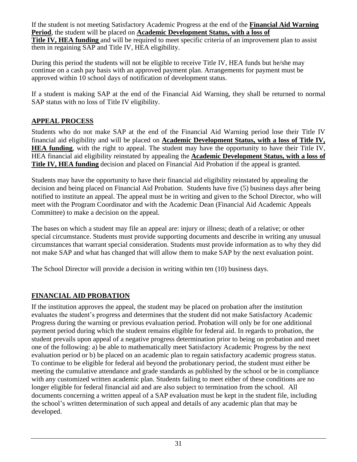If the student is not meeting Satisfactory Academic Progress at the end of the **Financial Aid Warning Period**, the student will be placed on **Academic Development Status, with a loss of Title IV, HEA funding** and will be required to meet specific criteria of an improvement plan to assist them in regaining SAP and Title IV, HEA eligibility.

During this period the students will not be eligible to receive Title IV, HEA funds but he/she may continue on a cash pay basis with an approved payment plan. Arrangements for payment must be approved within 10 school days of notification of development status.

If a student is making SAP at the end of the Financial Aid Warning, they shall be returned to normal SAP status with no loss of Title IV eligibility.

# **APPEAL PROCESS**

Students who do not make SAP at the end of the Financial Aid Warning period lose their Title IV financial aid eligibility and will be placed on **Academic Development Status, with a loss of Title IV, HEA funding**, with the right to appeal. The student may have the opportunity to have their Title IV, HEA financial aid eligibility reinstated by appealing the **Academic Development Status, with a loss of Title IV, HEA funding** decision and placed on Financial Aid Probation if the appeal is granted.

Students may have the opportunity to have their financial aid eligibility reinstated by appealing the decision and being placed on Financial Aid Probation. Students have five (5) business days after being notified to institute an appeal. The appeal must be in writing and given to the School Director, who will meet with the Program Coordinator and with the Academic Dean (Financial Aid Academic Appeals Committee) to make a decision on the appeal.

The bases on which a student may file an appeal are: injury or illness; death of a relative; or other special circumstance. Students must provide supporting documents and describe in writing any unusual circumstances that warrant special consideration. Students must provide information as to why they did not make SAP and what has changed that will allow them to make SAP by the next evaluation point.

The School Director will provide a decision in writing within ten (10) business days.

# **FINANCIAL AID PROBATION**

If the institution approves the appeal, the student may be placed on probation after the institution evaluates the student's progress and determines that the student did not make Satisfactory Academic Progress during the warning or previous evaluation period. Probation will only be for one additional payment period during which the student remains eligible for federal aid. In regards to probation, the student prevails upon appeal of a negative progress determination prior to being on probation and meet one of the following: a) be able to mathematically meet Satisfactory Academic Progress by the next evaluation period or b) be placed on an academic plan to regain satisfactory academic progress status. To continue to be eligible for federal aid beyond the probationary period, the student must either be meeting the cumulative attendance and grade standards as published by the school or be in compliance with any customized written academic plan. Students failing to meet either of these conditions are no longer eligible for federal financial aid and are also subject to termination from the school. All documents concerning a written appeal of a SAP evaluation must be kept in the student file, including the school's written determination of such appeal and details of any academic plan that may be developed.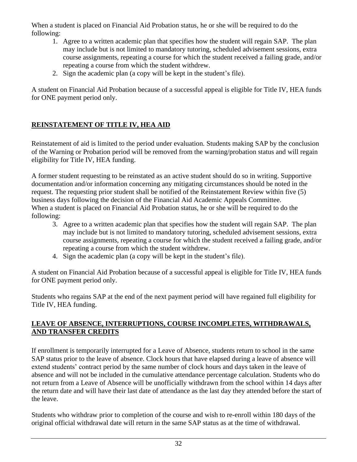When a student is placed on Financial Aid Probation status, he or she will be required to do the following:

- 1. Agree to a written academic plan that specifies how the student will regain SAP. The plan may include but is not limited to mandatory tutoring, scheduled advisement sessions, extra course assignments, repeating a course for which the student received a failing grade, and/or repeating a course from which the student withdrew.
- 2. Sign the academic plan (a copy will be kept in the student's file).

A student on Financial Aid Probation because of a successful appeal is eligible for Title IV, HEA funds for ONE payment period only.

# **REINSTATEMENT OF TITLE IV, HEA AID**

Reinstatement of aid is limited to the period under evaluation. Students making SAP by the conclusion of the Warning or Probation period will be removed from the warning/probation status and will regain eligibility for Title IV, HEA funding.

A former student requesting to be reinstated as an active student should do so in writing. Supportive documentation and/or information concerning any mitigating circumstances should be noted in the request. The requesting prior student shall be notified of the Reinstatement Review within five (5) business days following the decision of the Financial Aid Academic Appeals Committee. When a student is placed on Financial Aid Probation status, he or she will be required to do the following:

- 3. Agree to a written academic plan that specifies how the student will regain SAP. The plan may include but is not limited to mandatory tutoring, scheduled advisement sessions, extra course assignments, repeating a course for which the student received a failing grade, and/or repeating a course from which the student withdrew.
- 4. Sign the academic plan (a copy will be kept in the student's file).

A student on Financial Aid Probation because of a successful appeal is eligible for Title IV, HEA funds for ONE payment period only.

Students who regains SAP at the end of the next payment period will have regained full eligibility for Title IV, HEA funding.

# **LEAVE OF ABSENCE, INTERRUPTIONS, COURSE INCOMPLETES, WITHDRAWALS, AND TRANSFER CREDITS**

If enrollment is temporarily interrupted for a Leave of Absence, students return to school in the same SAP status prior to the leave of absence. Clock hours that have elapsed during a leave of absence will extend students' contract period by the same number of clock hours and days taken in the leave of absence and will not be included in the cumulative attendance percentage calculation. Students who do not return from a Leave of Absence will be unofficially withdrawn from the school within 14 days after the return date and will have their last date of attendance as the last day they attended before the start of the leave.

Students who withdraw prior to completion of the course and wish to re-enroll within 180 days of the original official withdrawal date will return in the same SAP status as at the time of withdrawal.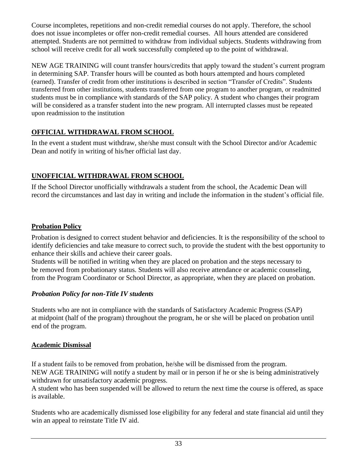Course incompletes, repetitions and non-credit remedial courses do not apply. Therefore, the school does not issue incompletes or offer non-credit remedial courses. All hours attended are considered attempted. Students are not permitted to withdraw from individual subjects. Students withdrawing from school will receive credit for all work successfully completed up to the point of withdrawal.

NEW AGE TRAINING will count transfer hours/credits that apply toward the student's current program in determining SAP. Transfer hours will be counted as both hours attempted and hours completed (earned). Transfer of credit from other institutions is described in section "Transfer of Credits". Students transferred from other institutions, students transferred from one program to another program, or readmitted students must be in compliance with standards of the SAP policy. A student who changes their program will be considered as a transfer student into the new program. All interrupted classes must be repeated upon readmission to the institution

# **OFFICIAL WITHDRAWAL FROM SCHOOL**

In the event a student must withdraw, she/she must consult with the School Director and/or Academic Dean and notify in writing of his/her official last day.

# **UNOFFICIAL WITHDRAWAL FROM SCHOOL**

If the School Director unofficially withdrawals a student from the school, the Academic Dean will record the circumstances and last day in writing and include the information in the student's official file.

# **Probation Policy**

Probation is designed to correct student behavior and deficiencies. It is the responsibility of the school to identify deficiencies and take measure to correct such, to provide the student with the best opportunity to enhance their skills and achieve their career goals.

Students will be notified in writing when they are placed on probation and the steps necessary to be removed from probationary status. Students will also receive attendance or academic counseling, from the Program Coordinator or School Director, as appropriate, when they are placed on probation.

# *Probation Policy for non-Title IV students*

Students who are not in compliance with the standards of Satisfactory Academic Progress (SAP) at midpoint (half of the program) throughout the program, he or she will be placed on probation until end of the program.

# **Academic Dismissal**

If a student fails to be removed from probation, he/she will be dismissed from the program. NEW AGE TRAINING will notify a student by mail or in person if he or she is being administratively withdrawn for unsatisfactory academic progress.

A student who has been suspended will be allowed to return the next time the course is offered, as space is available.

Students who are academically dismissed lose eligibility for any federal and state financial aid until they win an appeal to reinstate Title IV aid.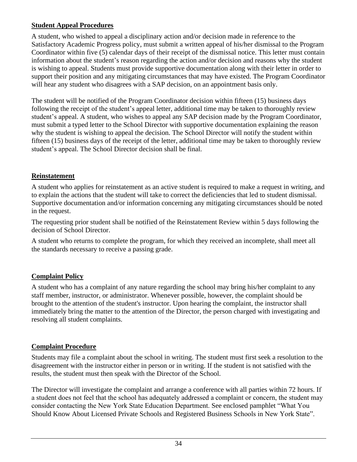# **Student Appeal Procedures**

A student, who wished to appeal a disciplinary action and/or decision made in reference to the Satisfactory Academic Progress policy, must submit a written appeal of his/her dismissal to the Program Coordinator within five (5) calendar days of their receipt of the dismissal notice. This letter must contain information about the student's reason regarding the action and/or decision and reasons why the student is wishing to appeal. Students must provide supportive documentation along with their letter in order to support their position and any mitigating circumstances that may have existed. The Program Coordinator will hear any student who disagrees with a SAP decision, on an appointment basis only.

The student will be notified of the Program Coordinator decision within fifteen (15) business days following the receipt of the student's appeal letter, additional time may be taken to thoroughly review student's appeal. A student, who wishes to appeal any SAP decision made by the Program Coordinator, must submit a typed letter to the School Director with supportive documentation explaining the reason why the student is wishing to appeal the decision. The School Director will notify the student within fifteen (15) business days of the receipt of the letter, additional time may be taken to thoroughly review student's appeal. The School Director decision shall be final.

# **Reinstatement**

A student who applies for reinstatement as an active student is required to make a request in writing, and to explain the actions that the student will take to correct the deficiencies that led to student dismissal. Supportive documentation and/or information concerning any mitigating circumstances should be noted in the request.

The requesting prior student shall be notified of the Reinstatement Review within 5 days following the decision of School Director.

A student who returns to complete the program, for which they received an incomplete, shall meet all the standards necessary to receive a passing grade.

# **Complaint Policy**

A student who has a complaint of any nature regarding the school may bring his/her complaint to any staff member, instructor, or administrator. Whenever possible, however, the complaint should be brought to the attention of the student's instructor. Upon hearing the complaint, the instructor shall immediately bring the matter to the attention of the Director, the person charged with investigating and resolving all student complaints.

# **Complaint Procedure**

Students may file a complaint about the school in writing. The student must first seek a resolution to the disagreement with the instructor either in person or in writing. If the student is not satisfied with the results, the student must then speak with the Director of the School.

The Director will investigate the complaint and arrange a conference with all parties within 72 hours. If a student does not feel that the school has adequately addressed a complaint or concern, the student may consider contacting the New York State Education Department. See enclosed pamphlet "What You Should Know About Licensed Private Schools and Registered Business Schools in New York State".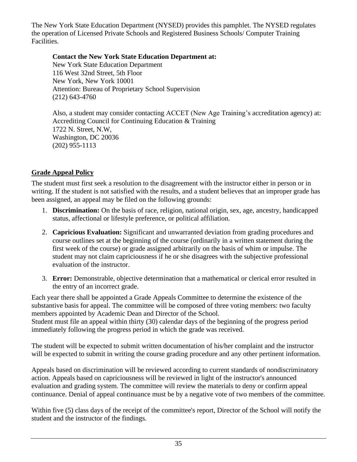The New York State Education Department (NYSED) provides this pamphlet. The NYSED regulates the operation of Licensed Private Schools and Registered Business Schools/ Computer Training Facilities.

# **Contact the New York State Education Department at:**

New York State Education Department 116 West 32nd Street, 5th Floor New York, New York 10001 Attention: Bureau of Proprietary School Supervision (212) 643-4760

Also, a student may consider contacting ACCET (New Age Training's accreditation agency) at: Accrediting Council for Continuing Education & Training 1722 N. Street, N.W, Washington, DC 20036 (202) 955-1113

# **Grade Appeal Policy**

The student must first seek a resolution to the disagreement with the instructor either in person or in writing. If the student is not satisfied with the results, and a student believes that an improper grade has been assigned, an appeal may be filed on the following grounds:

- 1. **Discrimination:** On the basis of race, religion, national origin, sex, age, ancestry, handicapped status, affectional or lifestyle preference, or political affiliation.
- 2. **Capricious Evaluation:** Significant and unwarranted deviation from grading procedures and course outlines set at the beginning of the course (ordinarily in a written statement during the first week of the course) or grade assigned arbitrarily on the basis of whim or impulse. The student may not claim capriciousness if he or she disagrees with the subjective professional evaluation of the instructor.
- 3. **Error:** Demonstrable, objective determination that a mathematical or clerical error resulted in the entry of an incorrect grade.

Each year there shall be appointed a Grade Appeals Committee to determine the existence of the substantive basis for appeal. The committee will be composed of three voting members: two faculty members appointed by Academic Dean and Director of the School.

Student must file an appeal within thirty (30) calendar days of the beginning of the progress period immediately following the progress period in which the grade was received.

The student will be expected to submit written documentation of his/her complaint and the instructor will be expected to submit in writing the course grading procedure and any other pertinent information.

Appeals based on discrimination will be reviewed according to current standards of nondiscriminatory action. Appeals based on capriciousness will be reviewed in light of the instructor's announced evaluation and grading system. The committee will review the materials to deny or confirm appeal continuance. Denial of appeal continuance must be by a negative vote of two members of the committee.

Within five (5) class days of the receipt of the committee's report, Director of the School will notify the student and the instructor of the findings.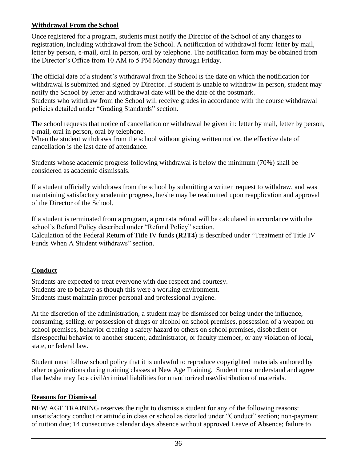# **Withdrawal From the School**

Once registered for a program, students must notify the Director of the School of any changes to registration, including withdrawal from the School. A notification of withdrawal form: letter by mail, letter by person, e-mail, oral in person, oral by telephone. The notification form may be obtained from the Director's Office from 10 AM to 5 PM Monday through Friday.

The official date of a student's withdrawal from the School is the date on which the notification for withdrawal is submitted and signed by Director. If student is unable to withdraw in person, student may notify the School by letter and withdrawal date will be the date of the postmark. Students who withdraw from the School will receive grades in accordance with the course withdrawal policies detailed under "Grading Standards" section.

The school requests that notice of cancellation or withdrawal be given in: letter by mail, letter by person, e-mail, oral in person, oral by telephone.

When the student withdraws from the school without giving written notice, the effective date of cancellation is the last date of attendance.

Students whose academic progress following withdrawal is below the minimum (70%) shall be considered as academic dismissals.

If a student officially withdraws from the school by submitting a written request to withdraw, and was maintaining satisfactory academic progress, he/she may be readmitted upon reapplication and approval of the Director of the School.

If a student is terminated from a program, a pro rata refund will be calculated in accordance with the school's Refund Policy described under "Refund Policy" section.

Calculation of the Federal Return of Title IV funds (**R2T4**) is described under "Treatment of Title IV Funds When A Student withdraws" section.

# **Conduct**

Students are expected to treat everyone with due respect and courtesy. Students are to behave as though this were a working environment. Students must maintain proper personal and professional hygiene.

At the discretion of the administration, a student may be dismissed for being under the influence, consuming, selling, or possession of drugs or alcohol on school premises, possession of a weapon on school premises, behavior creating a safety hazard to others on school premises, disobedient or disrespectful behavior to another student, administrator, or faculty member, or any violation of local, state, or federal law.

Student must follow school policy that it is unlawful to reproduce copyrighted materials authored by other organizations during training classes at New Age Training. Student must understand and agree that he/she may face civil/criminal liabilities for unauthorized use/distribution of materials.

# **Reasons for Dismissal**

NEW AGE TRAINING reserves the right to dismiss a student for any of the following reasons: unsatisfactory conduct or attitude in class or school as detailed under "Conduct" section; non-payment of tuition due; 14 consecutive calendar days absence without approved Leave of Absence; failure to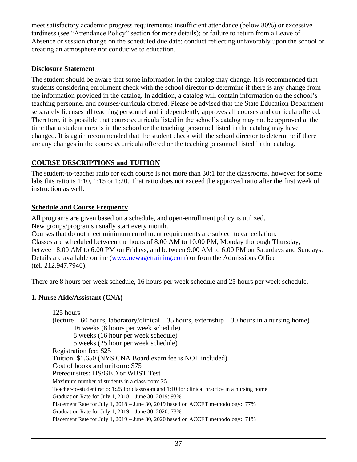meet satisfactory academic progress requirements; insufficient attendance (below 80%) or excessive tardiness (see "Attendance Policy" section for more details); or failure to return from a Leave of Absence or session change on the scheduled due date; conduct reflecting unfavorably upon the school or creating an atmosphere not conducive to education.

# **Disclosure Statement**

The student should be aware that some information in the catalog may change. It is recommended that students considering enrollment check with the school director to determine if there is any change from the information provided in the catalog. In addition, a catalog will contain information on the school's teaching personnel and courses/curricula offered. Please be advised that the State Education Department separately licenses all teaching personnel and independently approves all courses and curricula offered. Therefore, it is possible that courses/curricula listed in the school's catalog may not be approved at the time that a student enrolls in the school or the teaching personnel listed in the catalog may have changed. It is again recommended that the student check with the school director to determine if there are any changes in the courses/curricula offered or the teaching personnel listed in the catalog.

# **COURSE DESCRIPTIONS and TUITION**

The student-to-teacher ratio for each course is not more than 30:1 for the classrooms, however for some labs this ratio is 1:10, 1:15 or 1:20. That ratio does not exceed the approved ratio after the first week of instruction as well.

# **Schedule and Course Frequency**

All programs are given based on a schedule, and open-enrollment policy is utilized. New groups/programs usually start every month.

Courses that do not meet minimum enrollment requirements are subject to cancellation. Classes are scheduled between the hours of 8:00 AM to 10:00 PM, Monday thorough Thursday, between 8:00 AM to 6:00 PM on Fridays, and between 9:00 AM to 6:00 PM on Saturdays and Sundays. Details are available online [\(www.newagetraining.com\)](http://www.newagetraining.com/) or from the Admissions Office (tel. 212.947.7940).

There are 8 hours per week schedule, 16 hours per week schedule and 25 hours per week schedule.

# **1. Nurse Aide/Assistant (CNA)**

125 hours (lecture – 60 hours, laboratory/clinical – 35 hours, externship – 30 hours in a nursing home) 16 weeks (8 hours per week schedule) 8 weeks (16 hour per week schedule) 5 weeks (25 hour per week schedule) Registration fee: \$25 Tuition: \$1,650 (NYS CNA Board exam fee is NOT included) Cost of books and uniform: \$75 Prerequisites**:** HS/GED or WBST Test Maximum number of students in a classroom: 25 Teacher-to-student ratio: 1:25 for classroom and 1:10 for clinical practice in a nursing home Graduation Rate for July 1, 2018 – June 30, 2019: 93% Placement Rate for July 1, 2018 – June 30, 2019 based on ACCET methodology: 77% Graduation Rate for July 1, 2019 – June 30, 2020: 78% Placement Rate for July 1, 2019 – June 30, 2020 based on ACCET methodology: 71%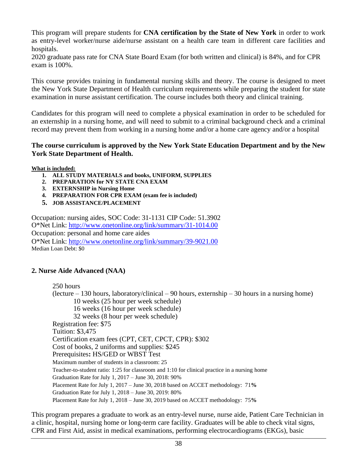This program will prepare students for **CNA certification by the State of New York** in order to work as entry-level worker/nurse aide/nurse assistant on a health care team in different care facilities and hospitals.

2020 graduate pass rate for CNA State Board Exam (for both written and clinical) is 84%, and for CPR exam is 100%.

This course provides training in fundamental nursing skills and theory. The course is designed to meet the New York State Department of Health curriculum requirements while preparing the student for state examination in nurse assistant certification. The course includes both theory and clinical training.

Candidates for this program will need to complete a physical examination in order to be scheduled for an externship in a nursing home, and will need to submit to a criminal background check and a criminal record may prevent them from working in a nursing home and/or a home care agency and/or a hospital

#### **The course curriculum is approved by the New York State Education Department and by the New York State Department of Health.**

#### **What is included:**

- **1. ALL STUDY MATERIALS and books, UNIFORM, SUPPLIES**
- **2. PREPARATION for NY STATE CNA EXAM**
- **3. EXTERNSHIP in Nursing Home**
- **4. PREPARATION FOR CPR EXAM (exam fee is included)**
- **5. JOB ASSISTANCE/PLACEMENT**

Occupation: nursing aides, SOC Code: 31-1131 CIP Code: 51.3902 O\*Net Link:<http://www.onetonline.org/link/summary/31-1014.00> Occupation: personal and home care aides O\*Net Link:<http://www.onetonline.org/link/summary/39-9021.00> Median Loan Debt: \$0

#### **2. Nurse Aide Advanced (NAA)**

250 hours

(lecture – 130 hours, laboratory/clinical – 90 hours, externship – 30 hours in a nursing home) 10 weeks (25 hour per week schedule) 16 weeks (16 hour per week schedule) 32 weeks (8 hour per week schedule) Registration fee: \$75 Tuition: \$3,475 Certification exam fees (CPT, CET, CPCT, CPR): \$302 Cost of books, 2 uniforms and supplies: \$245 Prerequisites**:** HS/GED or WBST Test Maximum number of students in a classroom: 25 Teacher-to-student ratio: 1:25 for classroom and 1:10 for clinical practice in a nursing home Graduation Rate for July 1, 2017 – June 30, 2018: 90% Placement Rate for July 1, 2017 – June 30, 2018 based on ACCET methodology: 71**%** Graduation Rate for July 1, 2018 – June 30, 2019: 80% Placement Rate for July 1, 2018 – June 30, 2019 based on ACCET methodology: 75**%**

This program prepares a graduate to work as an entry-level nurse, nurse aide, Patient Care Technician in a clinic, hospital, nursing home or long-term care facility. Graduates will be able to check vital signs, CPR and First Aid, assist in medical examinations, performing electrocardiograms (EKGs), basic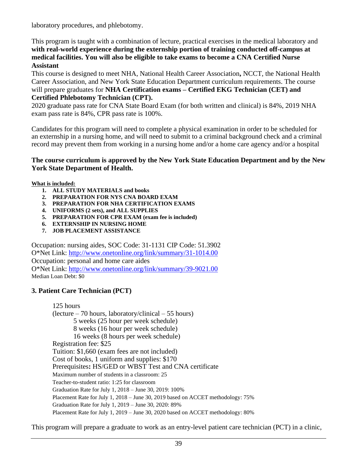laboratory procedures, and phlebotomy.

This program is taught with a combination of lecture, practical exercises in the medical laboratory and **with real-world experience during the externship portion of training conducted off-campus at medical facilities. You will also be eligible to take exams to become a CNA Certified Nurse Assistant**

This course is designed to meet NHA, National Health Career Association**,** NCCT, the National Health Career Association, and New York State Education Department curriculum requirements. The course will prepare graduates for **NHA Certification exams – Certified EKG Technician (CET) and Certified Phlebotomy Technician (CPT).** 

2020 graduate pass rate for CNA State Board Exam (for both written and clinical) is 84%, 2019 NHA exam pass rate is 84%, CPR pass rate is 100%.

Candidates for this program will need to complete a physical examination in order to be scheduled for an externship in a nursing home, and will need to submit to a criminal background check and a criminal record may prevent them from working in a nursing home and/or a home care agency and/or a hospital

#### **The course curriculum is approved by the New York State Education Department and by the New York State Department of Health.**

#### **What is included:**

- **1. ALL STUDY MATERIALS and books**
- **2. PREPARATION FOR NYS CNA BOARD EXAM**
- **3. PREPARATION FOR NHA CERTIFICATION EXAMS**
- **4. UNIFORMS (2 sets), and ALL SUPPLIES**
- **5. PREPARATION FOR CPR EXAM (exam fee is included)**
- **6. EXTERNSHIP IN NURSING HOME**
- **7. JOB PLACEMENT ASSISTANCE**

Occupation: nursing aides, SOC Code: 31-1131 CIP Code: 51.3902 O\*Net Link:<http://www.onetonline.org/link/summary/31-1014.00> Occupation: personal and home care aides O\*Net Link:<http://www.onetonline.org/link/summary/39-9021.00> Median Loan Debt: \$0

#### **3. Patient Care Technician (PCT)**

125 hours (lecture – 70 hours, laboratory/clinical – 55 hours) 5 weeks (25 hour per week schedule) 8 weeks (16 hour per week schedule) 16 weeks (8 hours per week schedule) Registration fee: \$25 Tuition: \$1,660 (exam fees are not included) Cost of books, 1 uniform and supplies: \$170 Prerequisites**:** HS/GED or WBST Test and CNA certificate Maximum number of students in a classroom: 25 Teacher-to-student ratio: 1:25 for classroom Graduation Rate for July 1, 2018 – June 30, 2019: 100% Placement Rate for July 1, 2018 – June 30, 2019 based on ACCET methodology: 75% Graduation Rate for July 1, 2019 – June 30, 2020: 89% Placement Rate for July 1, 2019 – June 30, 2020 based on ACCET methodology: 80%

This program will prepare a graduate to work as an entry-level patient care technician (PCT) in a clinic,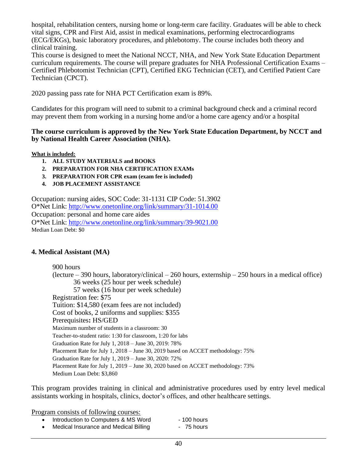hospital, rehabilitation centers, nursing home or long-term care facility. Graduates will be able to check vital signs, CPR and First Aid, assist in medical examinations, performing electrocardiograms (ECG/EKGs), basic laboratory procedures, and phlebotomy. The course includes both theory and clinical training.

This course is designed to meet the National NCCT, NHA, and New York State Education Department curriculum requirements. The course will prepare graduates for NHA Professional Certification Exams – Certified Phlebotomist Technician (CPT), Certified EKG Technician (CET), and Certified Patient Care Technician (CPCT).

2020 passing pass rate for NHA PCT Certification exam is 89%.

Candidates for this program will need to submit to a criminal background check and a criminal record may prevent them from working in a nursing home and/or a home care agency and/or a hospital

#### **The course curriculum is approved by the New York State Education Department, by NCCT and by National Health Career Association (NHA).**

**What is included:**

- **1. ALL STUDY MATERIALS and BOOKS**
- **2. PREPARATION FOR NHA CERTIFICATION EXAMs**
- **3. PREPARATION FOR CPR exam (exam fee is included)**
- **4. JOB PLACEMENT ASSISTANCE**

Occupation: nursing aides, SOC Code: 31-1131 CIP Code: 51.3902 O\*Net Link:<http://www.onetonline.org/link/summary/31-1014.00> Occupation: personal and home care aides O\*Net Link:<http://www.onetonline.org/link/summary/39-9021.00> Median Loan Debt: \$0

#### **4. Medical Assistant (MA)**

900 hours (lecture – 390 hours, laboratory/clinical – 260 hours, externship – 250 hours in a medical office) 36 weeks (25 hour per week schedule) 57 weeks (16 hour per week schedule) Registration fee: \$75 Tuition: \$14,580 (exam fees are not included) Cost of books, 2 uniforms and supplies: \$355 Prerequisites**:** HS/GED Maximum number of students in a classroom: 30 Teacher-to-student ratio: 1:30 for classroom, 1:20 for labs Graduation Rate for July 1, 2018 – June 30, 2019: 78% Placement Rate for July 1, 2018 – June 30, 2019 based on ACCET methodology: 75% Graduation Rate for July 1, 2019 – June 30, 2020: 72% Placement Rate for July 1, 2019 – June 30, 2020 based on ACCET methodology: 73% Medium Loan Debt: \$3,860

This program provides training in clinical and administrative procedures used by entry level medical assistants working in hospitals, clinics, doctor's offices, and other healthcare settings.

Program consists of following courses:

| Introduction to Computers & MS Word   | - 100 hours |
|---------------------------------------|-------------|
| Madical Insurance and Madical Rilling | $-75$ houre |

• Medical Insurance and Medical Billing - The Thours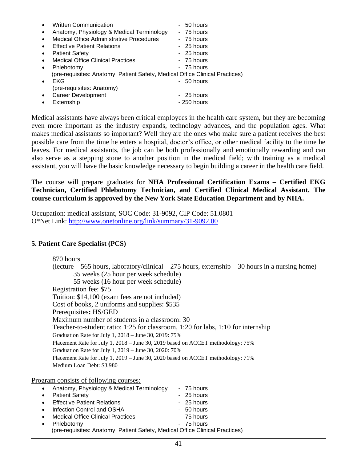|           | <b>Written Communication</b>                                                 | - 50 hours  |
|-----------|------------------------------------------------------------------------------|-------------|
| $\bullet$ | Anatomy, Physiology & Medical Terminology                                    | - 75 hours  |
|           | <b>Medical Office Administrative Procedures</b>                              | - 75 hours  |
| $\bullet$ | <b>Effective Patient Relations</b>                                           | - 25 hours  |
| $\bullet$ | <b>Patient Safety</b>                                                        | - 25 hours  |
|           | <b>Medical Office Clinical Practices</b>                                     | - 75 hours  |
|           | Phlebotomy                                                                   | - 75 hours  |
|           | (pre-requisites: Anatomy, Patient Safety, Medical Office Clinical Practices) |             |
|           | EKG                                                                          | - 50 hours  |
|           | (pre-requisites: Anatomy)                                                    |             |
|           | <b>Career Development</b>                                                    | - 25 hours  |
|           | Externship                                                                   | - 250 hours |

Medical assistants have always been critical employees in the health care system, but they are becoming even more important as the industry expands, technology advances, and the population ages. What makes medical assistants so important? Well they are the ones who make sure a patient receives the best possible care from the time he enters a hospital, doctor's office, or other medical facility to the time he leaves. For medical assistants, the job can be both professionally and emotionally rewarding and can also serve as a stepping stone to another position in the medical field; with training as a medical assistant, you will have the basic knowledge necessary to begin building a career in the health care field.

#### The course will prepare graduates for **NHA Professional Certification Exams – Certified EKG Technician, Certified Phlebotomy Technician, and Certified Clinical Medical Assistant. The course curriculum is approved by the New York State Education Department and by NHA.**

Occupation: medical assistant, SOC Code: 31-9092, CIP Code: 51.0801 O\*Net Link:<http://www.onetonline.org/link/summary/31-9092.00>

#### **5. Patient Care Specialist (PCS)**

870 hours (lecture – 565 hours, laboratory/clinical – 275 hours, externship – 30 hours in a nursing home) 35 weeks (25 hour per week schedule) 55 weeks (16 hour per week schedule) Registration fee: \$75 Tuition: \$14,100 (exam fees are not included) Cost of books, 2 uniforms and supplies: \$535 Prerequisites**:** HS/GED Maximum number of students in a classroom: 30 Teacher-to-student ratio: 1:25 for classroom, 1:20 for labs, 1:10 for internship Graduation Rate for July 1, 2018 – June 30, 2019: 75% Placement Rate for July 1, 2018 – June 30, 2019 based on ACCET methodology: 75% Graduation Rate for July 1, 2019 – June 30, 2020: 70% Placement Rate for July 1, 2019 – June 30, 2020 based on ACCET methodology: 71% Medium Loan Debt: \$3,980

Program consists of following courses:

|           | • Anatomy, Physiology & Medical Terminology                                  | - 75 hours |
|-----------|------------------------------------------------------------------------------|------------|
|           | • Patient Safety                                                             | - 25 hours |
|           | • Effective Patient Relations                                                | - 25 hours |
|           | • Infection Control and OSHA                                                 | - 50 hours |
| $\bullet$ | <b>Medical Office Clinical Practices</b>                                     | - 75 hours |
| $\bullet$ | Phlebotomy                                                                   | - 75 hours |
|           | (pre-requisites: Anatomy, Patient Safety, Medical Office Clinical Practices) |            |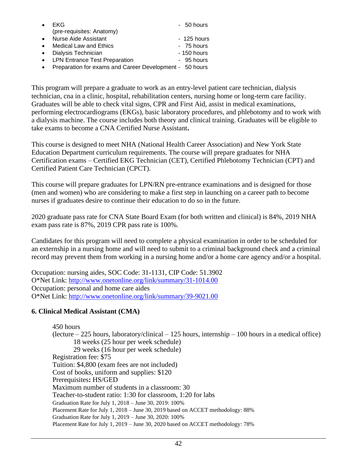|           | FKG                                                     | - 50 hours   |
|-----------|---------------------------------------------------------|--------------|
|           | (pre-requisites: Anatomy)                               |              |
| $\bullet$ | Nurse Aide Assistant                                    | $-125$ hours |
|           | <b>Medical Law and Ethics</b>                           | - 75 hours   |
| $\bullet$ | Dialysis Technician                                     | - 150 hours  |
| $\bullet$ | <b>LPN Entrance Test Preparation</b>                    | - 95 hours   |
|           | Preparation for exams and Career Development - 50 hours |              |

This program will prepare a graduate to work as an entry-level patient care technician, dialysis technician, cna in a clinic, hospital, rehabilitation centers, nursing home or long-term care facility. Graduates will be able to check vital signs, CPR and First Aid, assist in medical examinations, performing electrocardiograms (EKGs), basic laboratory procedures, and phlebotomy and to work with a dialysis machine. The course includes both theory and clinical training. Graduates will be eligible to take exams to become a CNA Certified Nurse Assistant**.**

This course is designed to meet NHA (National Health Career Association) and New York State Education Department curriculum requirements. The course will prepare graduates for NHA Certification exams – Certified EKG Technician (CET), Certified Phlebotomy Technician (CPT) and Certified Patient Care Technician (CPCT).

This course will prepare graduates for LPN/RN pre-entrance examinations and is designed for those (men and women) who are considering to make a first step in launching on a career path to become nurses if graduates desire to continue their education to do so in the future.

2020 graduate pass rate for CNA State Board Exam (for both written and clinical) is 84%, 2019 NHA exam pass rate is 87%, 2019 CPR pass rate is 100%.

Candidates for this program will need to complete a physical examination in order to be scheduled for an externship in a nursing home and will need to submit to a criminal background check and a criminal record may prevent them from working in a nursing home and/or a home care agency and/or a hospital.

Occupation: nursing aides, SOC Code: 31-1131, CIP Code: 51.3902 O\*Net Link:<http://www.onetonline.org/link/summary/31-1014.00> Occupation: personal and home care aides O\*Net Link:<http://www.onetonline.org/link/summary/39-9021.00>

#### **6. Clinical Medical Assistant (CMA)**

450 hours  $($ lecture – 225 hours, laboratory/clinical – 125 hours, internship – 100 hours in a medical office) 18 weeks (25 hour per week schedule) 29 weeks (16 hour per week schedule) Registration fee: \$75 Tuition: \$4,800 (exam fees are not included) Cost of books, uniform and supplies: \$120 Prerequisites**:** HS/GED Maximum number of students in a classroom: 30 Teacher-to-student ratio: 1:30 for classroom, 1:20 for labs Graduation Rate for July 1, 2018 – June 30, 2019: 100% Placement Rate for July 1, 2018 – June 30, 2019 based on ACCET methodology: 88% Graduation Rate for July 1, 2019 – June 30, 2020: 100% Placement Rate for July 1, 2019 – June 30, 2020 based on ACCET methodology: 78%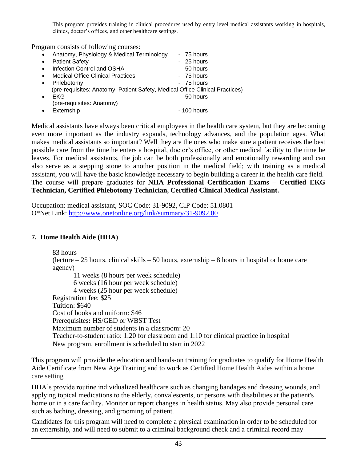This program provides training in clinical procedures used by entry level medical assistants working in hospitals, clinics, doctor's offices, and other healthcare settings.

Program consists of following courses:

|                                          | - 75 hours                                                                                                                |
|------------------------------------------|---------------------------------------------------------------------------------------------------------------------------|
| <b>Patient Safety</b>                    | - 25 hours                                                                                                                |
| Infection Control and OSHA               | - 50 hours                                                                                                                |
| <b>Medical Office Clinical Practices</b> | - 75 hours                                                                                                                |
| Phlebotomy                               | - 75 hours                                                                                                                |
|                                          |                                                                                                                           |
| <b>EKG</b>                               | - 50 hours                                                                                                                |
| (pre-requisites: Anatomy)                |                                                                                                                           |
| Externship                               | - 100 hours                                                                                                               |
|                                          | Anatomy, Physiology & Medical Terminology<br>(pre-requisites: Anatomy, Patient Safety, Medical Office Clinical Practices) |

Medical assistants have always been critical employees in the health care system, but they are becoming even more important as the industry expands, technology advances, and the population ages. What makes medical assistants so important? Well they are the ones who make sure a patient receives the best possible care from the time he enters a hospital, doctor's office, or other medical facility to the time he leaves. For medical assistants, the job can be both professionally and emotionally rewarding and can also serve as a stepping stone to another position in the medical field; with training as a medical assistant, you will have the basic knowledge necessary to begin building a career in the health care field. The course will prepare graduates for **NHA Professional Certification Exams – Certified EKG Technician, Certified Phlebotomy Technician, Certified Clinical Medical Assistant.**

Occupation: medical assistant, SOC Code: 31-9092, CIP Code: 51.0801 O\*Net Link:<http://www.onetonline.org/link/summary/31-9092.00>

#### **7. Home Health Aide (HHA)**

83 hours (lecture  $-25$  hours, clinical skills  $-50$  hours, externship  $-8$  hours in hospital or home care agency)

11 weeks (8 hours per week schedule) 6 weeks (16 hour per week schedule) 4 weeks (25 hour per week schedule) Registration fee: \$25 Tuition: \$640 Cost of books and uniform: \$46 Prerequisites**:** HS/GED or WBST Test Maximum number of students in a classroom: 20 Teacher-to-student ratio: 1:20 for classroom and 1:10 for clinical practice in hospital New program, enrollment is scheduled to start in 2022

This program will provide the education and hands-on training for graduates to qualify for Home Health Aide Certificate from New Age Training and to work as Certified Home Health Aides within a home care setting

HHA's provide routine individualized healthcare such as changing bandages and dressing wounds, and applying topical medications to the elderly, convalescents, or persons with disabilities at the patient's home or in a care facility. Monitor or report changes in health status. May also provide personal care such as bathing, dressing, and grooming of patient.

Candidates for this program will need to complete a physical examination in order to be scheduled for an externship, and will need to submit to a criminal background check and a criminal record may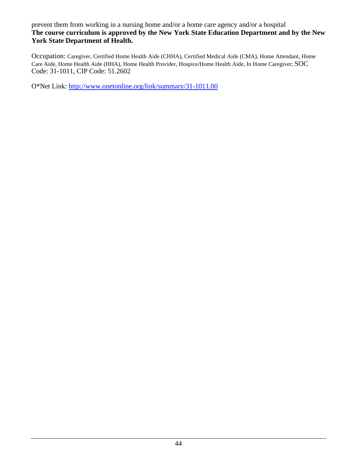prevent them from working in a nursing home and/or a home care agency and/or a hospital **The course curriculum is approved by the New York State Education Department and by the New York State Department of Health.**

Occupation: Caregiver, Certified Home Health Aide (CHHA), Certified Medical Aide (CMA), Home Attendant, Home Care Aide, Home Health Aide (HHA), Home Health Provider, Hospice/Home Health Aide, In Home Caregiver; SOC Code: 31-1011, CIP Code: 51.2602

O\*Net Link:<http://www.onetonline.org/link/summary/31-1011.00>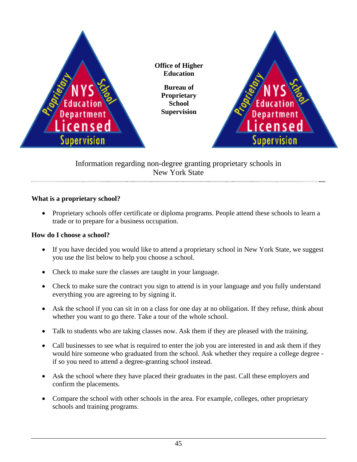

Information regarding non-degree granting proprietary schools in New York State

#### **What is a proprietary school?**

• Proprietary schools offer certificate or diploma programs. People attend these schools to learn a trade or to prepare for a business occupation.

#### **How do I choose a school?**

- If you have decided you would like to attend a proprietary school in New York State, we suggest you use the list below to help you choose a school.
- Check to make sure the classes are taught in your language.
- Check to make sure the contract you sign to attend is in your language and you fully understand everything you are agreeing to by signing it.
- Ask the school if you can sit in on a class for one day at no obligation. If they refuse, think about whether you want to go there. Take a tour of the whole school.
- Talk to students who are taking classes now. Ask them if they are pleased with the training.
- Call businesses to see what is required to enter the job you are interested in and ask them if they would hire someone who graduated from the school. Ask whether they require a college degree if so you need to attend a degree-granting school instead.
- Ask the school where they have placed their graduates in the past. Call these employers and confirm the placements.
- Compare the school with other schools in the area. For example, colleges, other proprietary schools and training programs.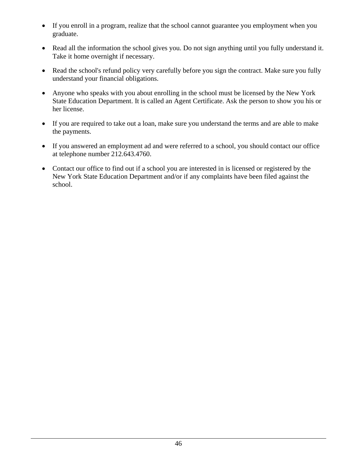- If you enroll in a program, realize that the school cannot guarantee you employment when you graduate.
- Read all the information the school gives you. Do not sign anything until you fully understand it. Take it home overnight if necessary.
- Read the school's refund policy very carefully before you sign the contract. Make sure you fully understand your financial obligations.
- Anyone who speaks with you about enrolling in the school must be licensed by the New York State Education Department. It is called an Agent Certificate. Ask the person to show you his or her license.
- If you are required to take out a loan, make sure you understand the terms and are able to make the payments.
- If you answered an employment ad and were referred to a school, you should contact our office at telephone number 212.643.4760.
- Contact our office to find out if a school you are interested in is licensed or registered by the New York State Education Department and/or if any complaints have been filed against the school.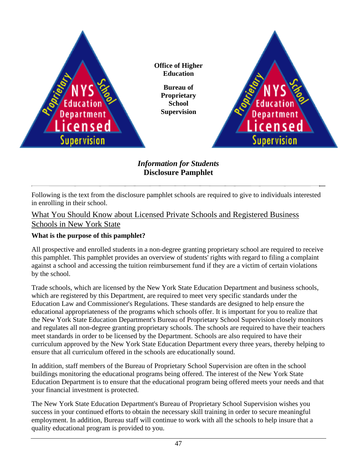

*Information for Students* **Disclosure Pamphlet**

Following is the text from the disclosure pamphlet schools are required to give to individuals interested in enrolling in their school.

# What You Should Know about Licensed Private Schools and Registered Business Schools in New York State

# **What is the purpose of this pamphlet?**

All prospective and enrolled students in a non-degree granting proprietary school are required to receive this pamphlet. This pamphlet provides an overview of students' rights with regard to filing a complaint against a school and accessing the tuition reimbursement fund if they are a victim of certain violations by the school.

Trade schools, which are licensed by the New York State Education Department and business schools, which are registered by this Department, are required to meet very specific standards under the Education Law and Commissioner's Regulations. These standards are designed to help ensure the educational appropriateness of the programs which schools offer. It is important for you to realize that the New York State Education Department's Bureau of Proprietary School Supervision closely monitors and regulates all non-degree granting proprietary schools. The schools are required to have their teachers meet standards in order to be licensed by the Department. Schools are also required to have their curriculum approved by the New York State Education Department every three years, thereby helping to ensure that all curriculum offered in the schools are educationally sound.

In addition, staff members of the Bureau of Proprietary School Supervision are often in the school buildings monitoring the educational programs being offered. The interest of the New York State Education Department is to ensure that the educational program being offered meets your needs and that your financial investment is protected.

The New York State Education Department's Bureau of Proprietary School Supervision wishes you success in your continued efforts to obtain the necessary skill training in order to secure meaningful employment. In addition, Bureau staff will continue to work with all the schools to help insure that a quality educational program is provided to you.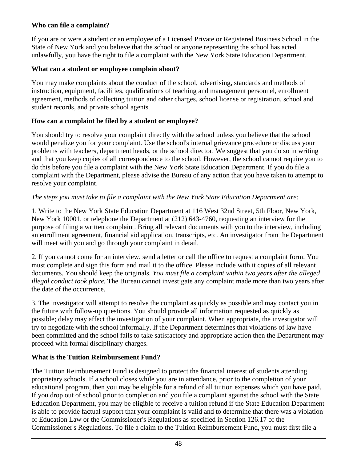# **Who can file a complaint?**

If you are or were a student or an employee of a Licensed Private or Registered Business School in the State of New York and you believe that the school or anyone representing the school has acted unlawfully, you have the right to file a complaint with the New York State Education Department.

### **What can a student or employee complain about?**

You may make complaints about the conduct of the school, advertising, standards and methods of instruction, equipment, facilities, qualifications of teaching and management personnel, enrollment agreement, methods of collecting tuition and other charges, school license or registration, school and student records, and private school agents.

#### **How can a complaint be filed by a student or employee?**

You should try to resolve your complaint directly with the school unless you believe that the school would penalize you for your complaint. Use the school's internal grievance procedure or discuss your problems with teachers, department heads, or the school director. We suggest that you do so in writing and that you keep copies of all correspondence to the school. However, the school cannot require you to do this before you file a complaint with the New York State Education Department. If you do file a complaint with the Department, please advise the Bureau of any action that you have taken to attempt to resolve your complaint.

# *The steps you must take to file a complaint with the New York State Education Department are:*

1. Write to the New York State Education Department at 116 West 32nd Street, 5th Floor, New York, New York 10001, or telephone the Department at (212) 643-4760, requesting an interview for the purpose of filing a written complaint. Bring all relevant documents with you to the interview, including an enrollment agreement, financial aid application, transcripts, etc. An investigator from the Department will meet with you and go through your complaint in detail.

2. If you cannot come for an interview, send a letter or call the office to request a complaint form. You must complete and sign this form and mail it to the office. Please include with it copies of all relevant documents. You should keep the originals. *You must file a complaint within two years after the alleged illegal conduct took place.* The Bureau cannot investigate any complaint made more than two years after the date of the occurrence.

3. The investigator will attempt to resolve the complaint as quickly as possible and may contact you in the future with follow-up questions. You should provide all information requested as quickly as possible; delay may affect the investigation of your complaint. When appropriate, the investigator will try to negotiate with the school informally. If the Department determines that violations of law have been committed and the school fails to take satisfactory and appropriate action then the Department may proceed with formal disciplinary charges.

# **What is the Tuition Reimbursement Fund?**

The Tuition Reimbursement Fund is designed to protect the financial interest of students attending proprietary schools. If a school closes while you are in attendance, prior to the completion of your educational program, then you may be eligible for a refund of all tuition expenses which you have paid. If you drop out of school prior to completion and you file a complaint against the school with the State Education Department, you may be eligible to receive a tuition refund if the State Education Department is able to provide factual support that your complaint is valid and to determine that there was a violation of Education Law or the Commissioner's Regulations as specified in Section 126.17 of the Commissioner's Regulations. To file a claim to the Tuition Reimbursement Fund, you must first file a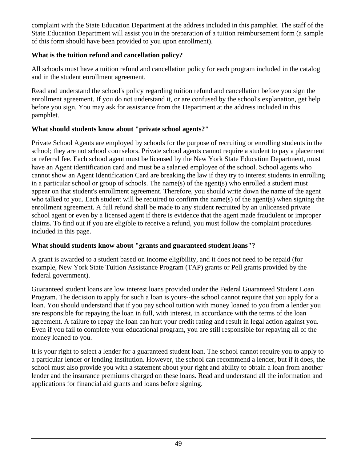complaint with the State Education Department at the address included in this pamphlet. The staff of the State Education Department will assist you in the preparation of a tuition reimbursement form (a sample of this form should have been provided to you upon enrollment).

# **What is the tuition refund and cancellation policy?**

All schools must have a tuition refund and cancellation policy for each program included in the catalog and in the student enrollment agreement.

Read and understand the school's policy regarding tuition refund and cancellation before you sign the enrollment agreement. If you do not understand it, or are confused by the school's explanation, get help before you sign. You may ask for assistance from the Department at the address included in this pamphlet.

# **What should students know about "private school agents?"**

Private School Agents are employed by schools for the purpose of recruiting or enrolling students in the school; they are not school counselors. Private school agents cannot require a student to pay a placement or referral fee. Each school agent must be licensed by the New York State Education Department, must have an Agent identification card and must be a salaried employee of the school. School agents who cannot show an Agent Identification Card are breaking the law if they try to interest students in enrolling in a particular school or group of schools. The name(s) of the agent(s) who enrolled a student must appear on that student's enrollment agreement. Therefore, you should write down the name of the agent who talked to you. Each student will be required to confirm the name(s) of the agent(s) when signing the enrollment agreement. A full refund shall be made to any student recruited by an unlicensed private school agent or even by a licensed agent if there is evidence that the agent made fraudulent or improper claims. To find out if you are eligible to receive a refund, you must follow the complaint procedures included in this page.

# **What should students know about "grants and guaranteed student loans"?**

A grant is awarded to a student based on income eligibility, and it does not need to be repaid (for example, New York State Tuition Assistance Program (TAP) grants or Pell grants provided by the federal government).

Guaranteed student loans are low interest loans provided under the Federal Guaranteed Student Loan Program. The decision to apply for such a loan is yours--the school cannot require that you apply for a loan. You should understand that if you pay school tuition with money loaned to you from a lender you are responsible for repaying the loan in full, with interest, in accordance with the terms of the loan agreement. A failure to repay the loan can hurt your credit rating and result in legal action against you. Even if you fail to complete your educational program, you are still responsible for repaying all of the money loaned to you.

It is your right to select a lender for a guaranteed student loan. The school cannot require you to apply to a particular lender or lending institution. However, the school can recommend a lender, but if it does, the school must also provide you with a statement about your right and ability to obtain a loan from another lender and the insurance premiums charged on these loans. Read and understand all the information and applications for financial aid grants and loans before signing.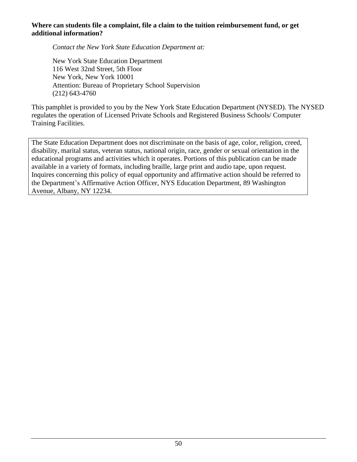#### **Where can students file a complaint, file a claim to the tuition reimbursement fund, or get additional information?**

*Contact the New York State Education Department at:*

New York State Education Department 116 West 32nd Street, 5th Floor New York, New York 10001 Attention: Bureau of Proprietary School Supervision (212) 643-4760

This pamphlet is provided to you by the New York State Education Department (NYSED). The NYSED regulates the operation of Licensed Private Schools and Registered Business Schools/ Computer Training Facilities.

The State Education Department does not discriminate on the basis of age, color, religion, creed, disability, marital status, veteran status, national origin, race, gender or sexual orientation in the educational programs and activities which it operates. Portions of this publication can be made available in a variety of formats, including braille, large print and audio tape, upon request. Inquires concerning this policy of equal opportunity and affirmative action should be referred to the Department's Affirmative Action Officer, NYS Education Department, 89 Washington Avenue, Albany, NY 12234.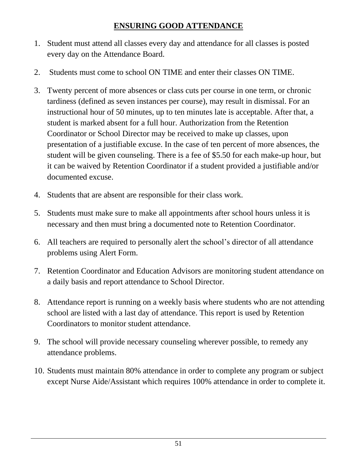# **ENSURING GOOD ATTENDANCE**

- 1. Student must attend all classes every day and attendance for all classes is posted every day on the Attendance Board.
- 2. Students must come to school ON TIME and enter their classes ON TIME.
- 3. Twenty percent of more absences or class cuts per course in one term, or chronic tardiness (defined as seven instances per course), may result in dismissal. For an instructional hour of 50 minutes, up to ten minutes late is acceptable. After that, a student is marked absent for a full hour. Authorization from the Retention Coordinator or School Director may be received to make up classes, upon presentation of a justifiable excuse. In the case of ten percent of more absences, the student will be given counseling. There is a fee of \$5.50 for each make-up hour, but it can be waived by Retention Coordinator if a student provided a justifiable and/or documented excuse.
- 4. Students that are absent are responsible for their class work.
- 5. Students must make sure to make all appointments after school hours unless it is necessary and then must bring a documented note to Retention Coordinator.
- 6. All teachers are required to personally alert the school's director of all attendance problems using Alert Form.
- 7. Retention Coordinator and Education Advisors are monitoring student attendance on a daily basis and report attendance to School Director.
- 8. Attendance report is running on a weekly basis where students who are not attending school are listed with a last day of attendance. This report is used by Retention Coordinators to monitor student attendance.
- 9. The school will provide necessary counseling wherever possible, to remedy any attendance problems.
- 10. Students must maintain 80% attendance in order to complete any program or subject except Nurse Aide/Assistant which requires 100% attendance in order to complete it.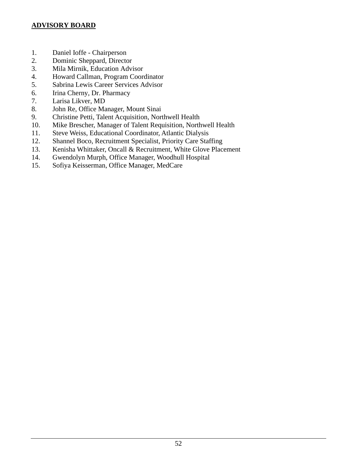#### **ADVISORY BOARD**

- 1. Daniel Ioffe Chairperson
- 2. Dominic Sheppard, Director
- 3. Mila Mirnik, Education Advisor
- 4. Howard Callman, Program Coordinator
- 5. Sabrina Lewis Career Services Advisor
- 6. Irina Cherny, Dr. Pharmacy
- 7. Larisa Likver, MD
- 8. John Re, Office Manager, Mount Sinai
- 9. Christine Petti, Talent Acquisition, Northwell Health
- 10. Mike Brescher, Manager of Talent Requisition, Northwell Health
- 11. Steve Weiss, Educational Coordinator, Atlantic Dialysis
- 12. Shannel Boco, Recruitment Specialist, Priority Care Staffing
- 13. Kenisha Whittaker, Oncall & Recruitment, White Glove Placement
- 14. Gwendolyn Murph, Office Manager, Woodhull Hospital
- 15. Sofiya Keisserman, Office Manager, MedCare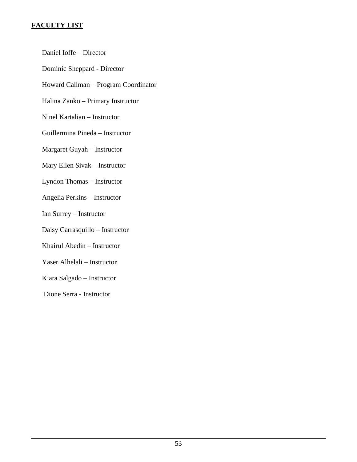# **FACULTY LIST**

Daniel Ioffe – Director Dominic Sheppard - Director Howard Callman – Program Coordinator Halina Zanko – Primary Instructor Ninel Kartalian – Instructor Guillermina Pineda – Instructor Margaret Guyah – Instructor Mary Ellen Sivak – Instructor Lyndon Thomas – Instructor Angelia Perkins – Instructor Ian Surrey – Instructor Daisy Carrasquillo – Instructor Khairul Abedin – Instructor Yaser Alhelali – Instructor

Kiara Salgado – Instructor

Dione Serra - Instructor